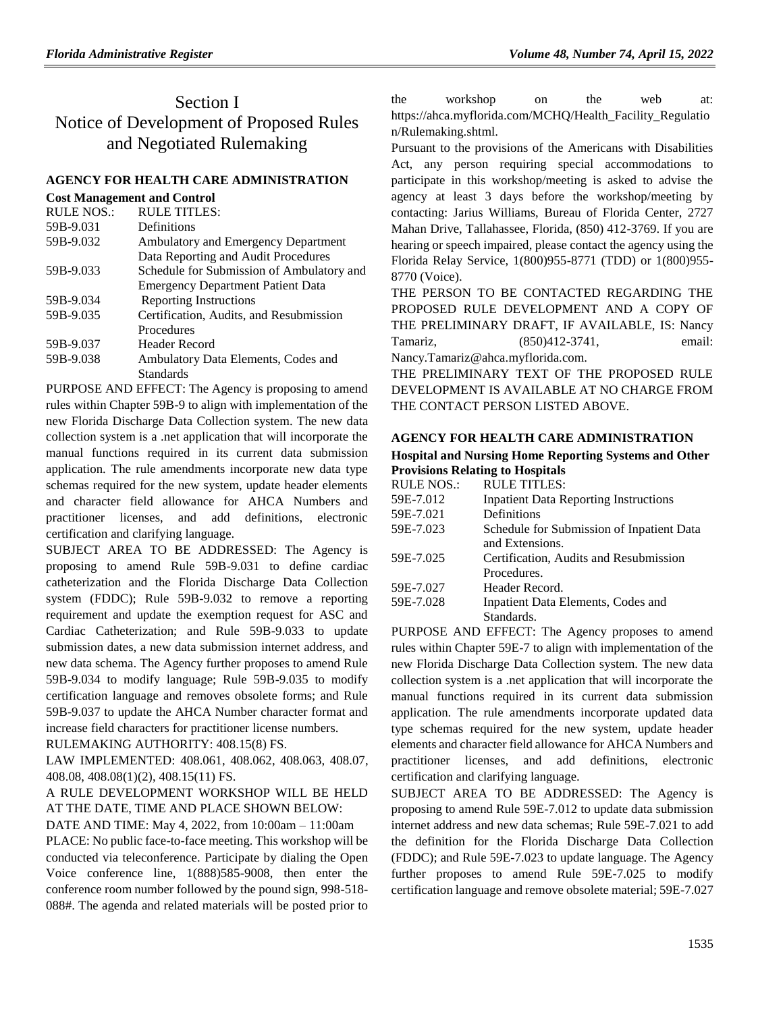# Section I Notice of Development of Proposed Rules and Negotiated Rulemaking

#### **[AGENCY FOR HEALTH CARE ADMINISTRATION](https://www.flrules.org/gateway/department.asp?id=59)**

| <b>Cost Management and Control</b> |                                           |
|------------------------------------|-------------------------------------------|
| <b>RULE NOS.:</b>                  | <b>RULE TITLES:</b>                       |
| 59B-9.031                          | Definitions                               |
| 59B-9.032                          | Ambulatory and Emergency Department       |
|                                    | Data Reporting and Audit Procedures       |
| 59B-9.033                          | Schedule for Submission of Ambulatory and |
|                                    | <b>Emergency Department Patient Data</b>  |
| 59B-9.034                          | Reporting Instructions                    |
| 59B-9.035                          | Certification, Audits, and Resubmission   |
|                                    | Procedures                                |
| 59B-9.037                          | Header Record                             |
| 59B-9.038                          | Ambulatory Data Elements, Codes and       |
|                                    | Standards                                 |

PURPOSE AND EFFECT: The Agency is proposing to amend rules within Chapter 59B-9 to align with implementation of the new Florida Discharge Data Collection system. The new data collection system is a .net application that will incorporate the manual functions required in its current data submission application. The rule amendments incorporate new data type schemas required for the new system, update header elements and character field allowance for AHCA Numbers and practitioner licenses, and add definitions, electronic certification and clarifying language.

SUBJECT AREA TO BE ADDRESSED: The Agency is proposing to amend Rule 59B-9.031 to define cardiac catheterization and the Florida Discharge Data Collection system (FDDC); Rule 59B-9.032 to remove a reporting requirement and update the exemption request for ASC and Cardiac Catheterization; and Rule 59B-9.033 to update submission dates, a new data submission internet address, and new data schema. The Agency further proposes to amend Rule 59B-9.034 to modify language; Rule 59B-9.035 to modify certification language and removes obsolete forms; and Rule 59B-9.037 to update the AHCA Number character format and increase field characters for practitioner license numbers.

RULEMAKING AUTHORITY: [408.15\(8\) FS.](https://www.flrules.org/gateway/statute.asp?id=408.15(8)%20FS.)

LAW IMPLEMENTED: [408.061,](https://www.flrules.org/gateway/statute.asp?id=408.061) [408.062,](https://www.flrules.org/gateway/statute.asp?id=%20408.062) [408.063,](https://www.flrules.org/gateway/statute.asp?id=%20408.063) [408.07,](https://www.flrules.org/gateway/statute.asp?id=%20408.07) [408.08,](https://www.flrules.org/gateway/statute.asp?id=%20408.08) [408.08\(1\)\(2\),](https://www.flrules.org/gateway/statute.asp?id=%20408.08(1)(2)) [408.15\(11\) FS.](https://www.flrules.org/gateway/statute.asp?id=%20408.15(11)%20FS.)

# A RULE DEVELOPMENT WORKSHOP WILL BE HELD AT THE DATE, TIME AND PLACE SHOWN BELOW:

DATE AND TIME: May 4, 2022, from 10:00am – 11:00am PLACE: No public face-to-face meeting. This workshop will be conducted via teleconference. Participate by dialing the Open Voice conference line, 1(888)585-9008, then enter the conference room number followed by the pound sign, 998-518- 088#. The agenda and related materials will be posted prior to the workshop on the web at: https://ahca.myflorida.com/MCHQ/Health\_Facility\_Regulatio n/Rulemaking.shtml.

Pursuant to the provisions of the Americans with Disabilities Act, any person requiring special accommodations to participate in this workshop/meeting is asked to advise the agency at least 3 days before the workshop/meeting by contacting: Jarius Williams, Bureau of Florida Center, 2727 Mahan Drive, Tallahassee, Florida, (850) 412-3769. If you are hearing or speech impaired, please contact the agency using the Florida Relay Service, 1(800)955-8771 (TDD) or 1(800)955- 8770 (Voice).

THE PERSON TO BE CONTACTED REGARDING THE PROPOSED RULE DEVELOPMENT AND A COPY OF THE PRELIMINARY DRAFT, IF AVAILABLE, IS: Nancy Tamariz, (850)412-3741, email: Nancy.Tamariz@ahca.myflorida.com.

THE PRELIMINARY TEXT OF THE PROPOSED RULE DEVELOPMENT IS AVAILABLE AT NO CHARGE FROM THE CONTACT PERSON LISTED ABOVE.

# **[AGENCY FOR HEALTH CARE ADMINISTRATION](https://www.flrules.org/gateway/department.asp?id=59)**

#### **[Hospital and Nursing Home Reporting Systems and Other](https://www.flrules.org/gateway/organization.asp?id=190)  [Provisions Relating to Hospitals](https://www.flrules.org/gateway/organization.asp?id=190)**

| <b>RULE NOS.:</b> | <b>RULE TITLES:</b>                          |
|-------------------|----------------------------------------------|
| 59E-7.012         | <b>Inpatient Data Reporting Instructions</b> |
| 59E-7.021         | Definitions                                  |
| 59E-7.023         | Schedule for Submission of Inpatient Data    |
|                   | and Extensions.                              |
| 59E-7.025         | Certification, Audits and Resubmission       |
|                   | Procedures.                                  |
| 59E-7.027         | Header Record.                               |
| 59E-7.028         | Inpatient Data Elements, Codes and           |
|                   | Standards.                                   |
|                   |                                              |

PURPOSE AND EFFECT: The Agency proposes to amend rules within Chapter 59E-7 to align with implementation of the new Florida Discharge Data Collection system. The new data collection system is a .net application that will incorporate the manual functions required in its current data submission application. The rule amendments incorporate updated data type schemas required for the new system, update header elements and character field allowance for AHCA Numbers and practitioner licenses, and add definitions, electronic certification and clarifying language.

SUBJECT AREA TO BE ADDRESSED: The Agency is proposing to amend Rule 59E-7.012 to update data submission internet address and new data schemas; Rule 59E-7.021 to add the definition for the Florida Discharge Data Collection (FDDC); and Rule 59E-7.023 to update language. The Agency further proposes to amend Rule 59E-7.025 to modify certification language and remove obsolete material; 59E-7.027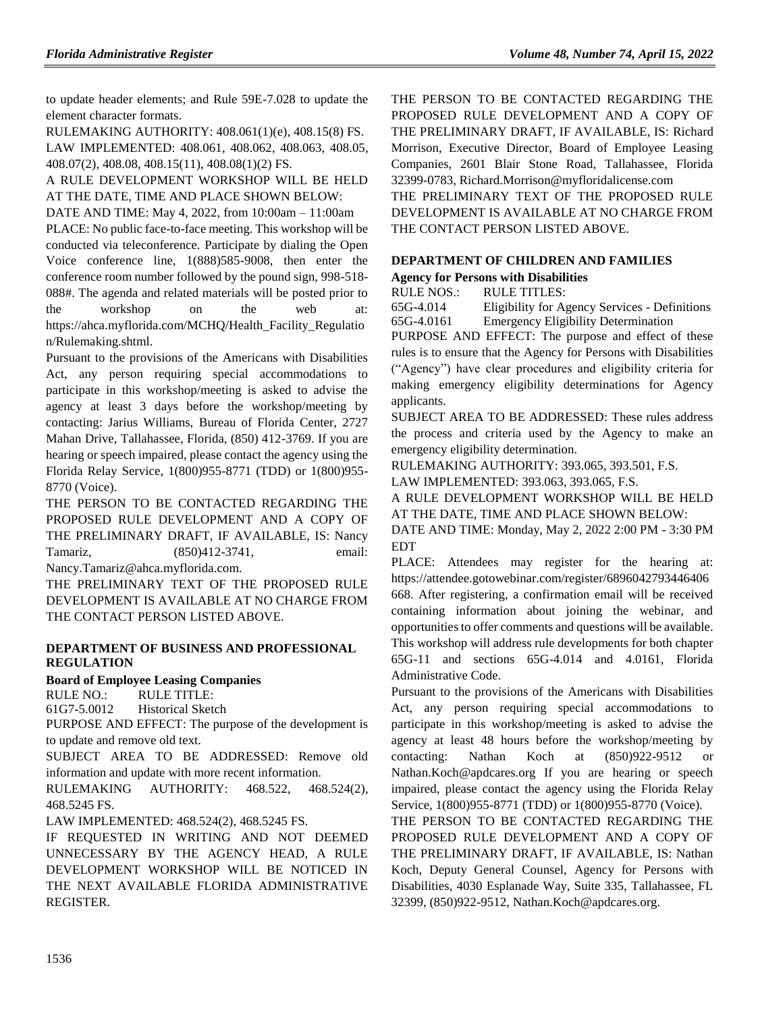to update header elements; and Rule 59E-7.028 to update the element character formats.

RULEMAKING AUTHORITY: [408.061\(1\)\(e\),](https://www.flrules.org/gateway/statute.asp?id=408.061(1)(e)) [408.15\(8\) FS.](https://www.flrules.org/gateway/statute.asp?id=%20408.15(8)%20FS.) LAW IMPLEMENTED: [408.061,](https://www.flrules.org/gateway/statute.asp?id=408.061) [408.062,](https://www.flrules.org/gateway/statute.asp?id=%20408.062) [408.063,](https://www.flrules.org/gateway/statute.asp?id=%20408.063) [408.05,](https://www.flrules.org/gateway/statute.asp?id=%20408.05) [408.07\(2\),](https://www.flrules.org/gateway/statute.asp?id=%20408.07(2)) [408.08,](https://www.flrules.org/gateway/statute.asp?id=%20408.08) [408.15\(11\),](https://www.flrules.org/gateway/statute.asp?id=%20408.15(11)) [408.08\(1\)\(2\) FS.](https://www.flrules.org/gateway/statute.asp?id=%20408.08(1)(2)%20FS.)

A RULE DEVELOPMENT WORKSHOP WILL BE HELD AT THE DATE, TIME AND PLACE SHOWN BELOW:

DATE AND TIME: May 4, 2022, from 10:00am – 11:00am

PLACE: No public face-to-face meeting. This workshop will be conducted via teleconference. Participate by dialing the Open Voice conference line, 1(888)585-9008, then enter the conference room number followed by the pound sign, 998-518- 088#. The agenda and related materials will be posted prior to the workshop on the web at: https://ahca.myflorida.com/MCHQ/Health\_Facility\_Regulatio n/Rulemaking.shtml.

Pursuant to the provisions of the Americans with Disabilities Act, any person requiring special accommodations to participate in this workshop/meeting is asked to advise the agency at least 3 days before the workshop/meeting by contacting: Jarius Williams, Bureau of Florida Center, 2727 Mahan Drive, Tallahassee, Florida, (850) 412-3769. If you are hearing or speech impaired, please contact the agency using the Florida Relay Service, 1(800)955-8771 (TDD) or 1(800)955- 8770 (Voice).

THE PERSON TO BE CONTACTED REGARDING THE PROPOSED RULE DEVELOPMENT AND A COPY OF THE PRELIMINARY DRAFT, IF AVAILABLE, IS: Nancy Tamariz, (850)412-3741, email:

Nancy.Tamariz@ahca.myflorida.com.

THE PRELIMINARY TEXT OF THE PROPOSED RULE DEVELOPMENT IS AVAILABLE AT NO CHARGE FROM THE CONTACT PERSON LISTED ABOVE.

#### **[DEPARTMENT OF BUSINESS AND PROFESSIONAL](https://www.flrules.org/gateway/department.asp?id=61)  [REGULATION](https://www.flrules.org/gateway/department.asp?id=61)**

**[Board of Employee Leasing Companies](https://www.flrules.org/gateway/organization.asp?id=277)**

RULE NO.: RULE TITLE:

[61G7-5.0012](https://www.flrules.org/gateway/ruleNo.asp?id=61G7-5.0012) Historical Sketch

PURPOSE AND EFFECT: The purpose of the development is to update and remove old text.

SUBJECT AREA TO BE ADDRESSED: Remove old information and update with more recent information.

RULEMAKING AUTHORITY: [468.522,](https://www.flrules.org/gateway/statute.asp?id=468.522) [468.524\(2\),](https://www.flrules.org/gateway/statute.asp?id=%20468.524(2)) [468.5245 FS.](https://www.flrules.org/gateway/statute.asp?id=%20468.5245%20FS.)

LAW IMPLEMENTED: [468.524\(2\),](https://www.flrules.org/gateway/statute.asp?id=468.524(2)) [468.5245 FS.](https://www.flrules.org/gateway/statute.asp?id=%20468.5245%20FS.)

IF REQUESTED IN WRITING AND NOT DEEMED UNNECESSARY BY THE AGENCY HEAD, A RULE DEVELOPMENT WORKSHOP WILL BE NOTICED IN THE NEXT AVAILABLE FLORIDA ADMINISTRATIVE REGISTER.

THE PERSON TO BE CONTACTED REGARDING THE PROPOSED RULE DEVELOPMENT AND A COPY OF THE PRELIMINARY DRAFT, IF AVAILABLE, IS: Richard Morrison, Executive Director, Board of Employee Leasing Companies, 2601 Blair Stone Road, Tallahassee, Florida 32399-0783, Richard.Morrison@myfloridalicense.com THE PRELIMINARY TEXT OF THE PROPOSED RULE DEVELOPMENT IS AVAILABLE AT NO CHARGE FROM THE CONTACT PERSON LISTED ABOVE.

# **[DEPARTMENT OF CHILDREN AND FAMILIES](https://www.flrules.org/gateway/department.asp?id=65)**

**[Agency for Persons with Disabilities](https://www.flrules.org/gateway/organization.asp?id=560)**

RULE NOS.: RULE TITLES:

[65G-4.014](https://www.flrules.org/gateway/ruleNo.asp?id=65G-4.014) Eligibility for Agency Services - Definitions [65G-4.0161](https://www.flrules.org/gateway/ruleNo.asp?id=65G-4.0161) Emergency Eligibility Determination

PURPOSE AND EFFECT: The purpose and effect of these rules is to ensure that the Agency for Persons with Disabilities ("Agency") have clear procedures and eligibility criteria for making emergency eligibility determinations for Agency applicants.

SUBJECT AREA TO BE ADDRESSED: These rules address the process and criteria used by the Agency to make an emergency eligibility determination.

RULEMAKING AUTHORITY: [393.065,](https://www.flrules.org/gateway/statute.asp?id=393.065) [393.501,](https://www.flrules.org/gateway/statute.asp?id=%20393.501) F.S.

LAW IMPLEMENTED: [393.063,](https://www.flrules.org/gateway/statute.asp?id=393.063) [393.065,](https://www.flrules.org/gateway/statute.asp?id=%20393.065) F.S.

A RULE DEVELOPMENT WORKSHOP WILL BE HELD AT THE DATE, TIME AND PLACE SHOWN BELOW:

DATE AND TIME: Monday, May 2, 2022 2:00 PM - 3:30 PM EDT

PLACE: Attendees may register for the hearing at: https://attendee.gotowebinar.com/register/6896042793446406 668. After registering, a confirmation email will be received containing information about joining the webinar, and opportunities to offer comments and questions will be available. This workshop will address rule developments for both chapter 65G-11 and sections 65G-4.014 and 4.0161, Florida Administrative Code.

Pursuant to the provisions of the Americans with Disabilities Act, any person requiring special accommodations to participate in this workshop/meeting is asked to advise the agency at least 48 hours before the workshop/meeting by contacting: Nathan Koch at (850)922-9512 or Nathan.Koch@apdcares.org If you are hearing or speech impaired, please contact the agency using the Florida Relay Service, 1(800)955-8771 (TDD) or 1(800)955-8770 (Voice).

THE PERSON TO BE CONTACTED REGARDING THE PROPOSED RULE DEVELOPMENT AND A COPY OF THE PRELIMINARY DRAFT, IF AVAILABLE, IS: Nathan Koch, Deputy General Counsel, Agency for Persons with Disabilities, 4030 Esplanade Way, Suite 335, Tallahassee, FL 32399, (850)922-9512, Nathan.Koch@apdcares.org.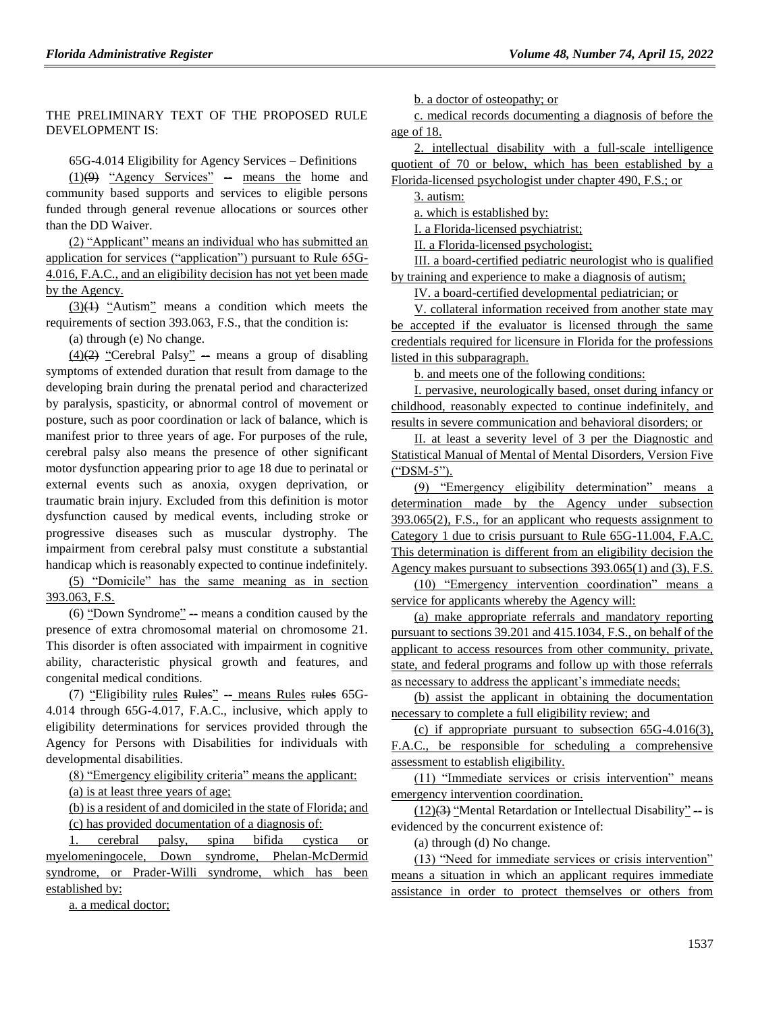#### THE PRELIMINARY TEXT OF THE PROPOSED RULE DEVELOPMENT IS:

65G-4.014 Eligibility for Agency Services – Definitions

 $(1)(9)$  "Agency Services" – means the home and community based supports and services to eligible persons funded through general revenue allocations or sources other than the DD Waiver.

(2) "Applicant" means an individual who has submitted an application for services ("application") pursuant to Rule 65G-4.016, F.A.C., and an eligibility decision has not yet been made by the Agency.

 $(3)(1)$  "Autism" means a condition which meets the requirements of section 393.063, F.S., that the condition is:

(a) through (e) No change.

 $(4)(2)$  "Cerebral Palsy" -- means a group of disabling symptoms of extended duration that result from damage to the developing brain during the prenatal period and characterized by paralysis, spasticity, or abnormal control of movement or posture, such as poor coordination or lack of balance, which is manifest prior to three years of age. For purposes of the rule, cerebral palsy also means the presence of other significant motor dysfunction appearing prior to age 18 due to perinatal or external events such as anoxia, oxygen deprivation, or traumatic brain injury. Excluded from this definition is motor dysfunction caused by medical events, including stroke or progressive diseases such as muscular dystrophy. The impairment from cerebral palsy must constitute a substantial handicap which is reasonably expected to continue indefinitely.

(5) "Domicile" has the same meaning as in section 393.063, F.S.

 $(6)$  "Down Syndrome"  $-$  means a condition caused by the presence of extra chromosomal material on chromosome 21. This disorder is often associated with impairment in cognitive ability, characteristic physical growth and features, and congenital medical conditions.

(7) "Eligibility rules Rules" - means Rules rules 65G-4.014 through 65G-4.017, F.A.C., inclusive, which apply to eligibility determinations for services provided through the Agency for Persons with Disabilities for individuals with developmental disabilities.

(8) "Emergency eligibility criteria" means the applicant:

(a) is at least three years of age;

(b) is a resident of and domiciled in the state of Florida; and (c) has provided documentation of a diagnosis of:

1. cerebral palsy, spina bifida cystica or myelomeningocele, Down syndrome, Phelan-McDermid syndrome, or Prader-Willi syndrome, which has been established by:

a. a medical doctor;

b. a doctor of osteopathy; or

c. medical records documenting a diagnosis of before the age of 18.

2. intellectual disability with a full-scale intelligence quotient of 70 or below, which has been established by a Florida-licensed psychologist under chapter 490, F.S.; or

3. autism:

a. which is established by:

I. a Florida-licensed psychiatrist;

II. a Florida-licensed psychologist;

III. a board-certified pediatric neurologist who is qualified by training and experience to make a diagnosis of autism;

IV. a board-certified developmental pediatrician; or

V. collateral information received from another state may be accepted if the evaluator is licensed through the same credentials required for licensure in Florida for the professions listed in this subparagraph.

b. and meets one of the following conditions:

I. pervasive, neurologically based, onset during infancy or childhood, reasonably expected to continue indefinitely, and results in severe communication and behavioral disorders; or

II. at least a severity level of 3 per the Diagnostic and Statistical Manual of Mental of Mental Disorders, Version Five ("DSM-5").

(9) "Emergency eligibility determination" means a determination made by the Agency under subsection 393.065(2), F.S., for an applicant who requests assignment to Category 1 due to crisis pursuant to Rule 65G-11.004, F.A.C. This determination is different from an eligibility decision the Agency makes pursuant to subsections 393.065(1) and (3), F.S.

(10) "Emergency intervention coordination" means a service for applicants whereby the Agency will:

(a) make appropriate referrals and mandatory reporting pursuant to sections 39.201 and 415.1034, F.S., on behalf of the applicant to access resources from other community, private, state, and federal programs and follow up with those referrals as necessary to address the applicant's immediate needs;

(b) assist the applicant in obtaining the documentation necessary to complete a full eligibility review; and

(c) if appropriate pursuant to subsection 65G-4.016(3), F.A.C., be responsible for scheduling a comprehensive assessment to establish eligibility.

(11) "Immediate services or crisis intervention" means emergency intervention coordination.

 $(12)(3)$  "Mental Retardation or Intellectual Disability" - is evidenced by the concurrent existence of:

(a) through (d) No change.

(13) "Need for immediate services or crisis intervention" means a situation in which an applicant requires immediate assistance in order to protect themselves or others from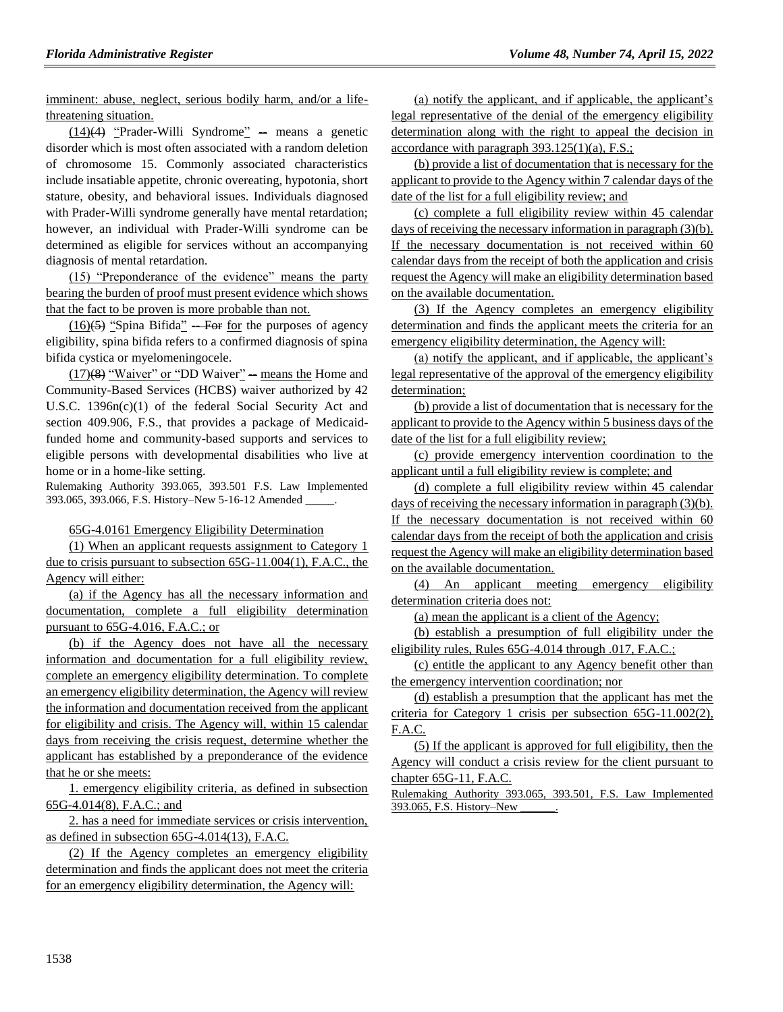imminent: abuse, neglect, serious bodily harm, and/or a lifethreatening situation.

 $(14)(4)$  "Prader-Willi Syndrome" -- means a genetic disorder which is most often associated with a random deletion of chromosome 15. Commonly associated characteristics include insatiable appetite, chronic overeating, hypotonia, short stature, obesity, and behavioral issues. Individuals diagnosed with Prader-Willi syndrome generally have mental retardation; however, an individual with Prader-Willi syndrome can be determined as eligible for services without an accompanying diagnosis of mental retardation.

(15) "Preponderance of the evidence" means the party bearing the burden of proof must present evidence which shows that the fact to be proven is more probable than not.

 $(16)(5)$  "Spina Bifida" -- For for the purposes of agency eligibility, spina bifida refers to a confirmed diagnosis of spina bifida cystica or myelomeningocele.

 $(17)(8)$  "Waiver" or "DD Waiver" -- means the Home and Community-Based Services (HCBS) waiver authorized by 42 U.S.C. 1396n(c)(1) of the federal Social Security Act and section 409.906, F.S., that provides a package of Medicaidfunded home and community-based supports and services to eligible persons with developmental disabilities who live at home or in a home-like setting.

Rulemaking Authority 393.065, 393.501 F.S. Law Implemented 393.065, 393.066, F.S. History-New 5-16-12 Amended \_

#### 65G-4.0161 Emergency Eligibility Determination

(1) When an applicant requests assignment to Category 1 due to crisis pursuant to subsection 65G-11.004(1), F.A.C., the Agency will either:

(a) if the Agency has all the necessary information and documentation, complete a full eligibility determination pursuant to 65G-4.016, F.A.C.; or

(b) if the Agency does not have all the necessary information and documentation for a full eligibility review, complete an emergency eligibility determination. To complete an emergency eligibility determination, the Agency will review the information and documentation received from the applicant for eligibility and crisis. The Agency will, within 15 calendar days from receiving the crisis request, determine whether the applicant has established by a preponderance of the evidence that he or she meets:

1. emergency eligibility criteria, as defined in subsection 65G-4.014(8), F.A.C.; and

2. has a need for immediate services or crisis intervention, as defined in subsection 65G-4.014(13), F.A.C.

(2) If the Agency completes an emergency eligibility determination and finds the applicant does not meet the criteria for an emergency eligibility determination, the Agency will:

(a) notify the applicant, and if applicable, the applicant's legal representative of the denial of the emergency eligibility determination along with the right to appeal the decision in accordance with paragraph 393.125(1)(a), F.S.;

(b) provide a list of documentation that is necessary for the applicant to provide to the Agency within 7 calendar days of the date of the list for a full eligibility review; and

(c) complete a full eligibility review within 45 calendar days of receiving the necessary information in paragraph (3)(b). If the necessary documentation is not received within 60 calendar days from the receipt of both the application and crisis request the Agency will make an eligibility determination based on the available documentation.

(3) If the Agency completes an emergency eligibility determination and finds the applicant meets the criteria for an emergency eligibility determination, the Agency will:

(a) notify the applicant, and if applicable, the applicant's legal representative of the approval of the emergency eligibility determination;

(b) provide a list of documentation that is necessary for the applicant to provide to the Agency within 5 business days of the date of the list for a full eligibility review;

(c) provide emergency intervention coordination to the applicant until a full eligibility review is complete; and

(d) complete a full eligibility review within 45 calendar days of receiving the necessary information in paragraph (3)(b). If the necessary documentation is not received within 60 calendar days from the receipt of both the application and crisis request the Agency will make an eligibility determination based on the available documentation.

(4) An applicant meeting emergency eligibility determination criteria does not:

(a) mean the applicant is a client of the Agency;

(b) establish a presumption of full eligibility under the eligibility rules, Rules 65G-4.014 through .017, F.A.C.;

(c) entitle the applicant to any Agency benefit other than the emergency intervention coordination; nor

(d) establish a presumption that the applicant has met the criteria for Category 1 crisis per subsection 65G-11.002(2), F.A.C.

(5) If the applicant is approved for full eligibility, then the Agency will conduct a crisis review for the client pursuant to chapter 65G-11, F.A.C.

Rulemaking Authority 393.065, 393.501, F.S. Law Implemented 393.065, F.S. History–New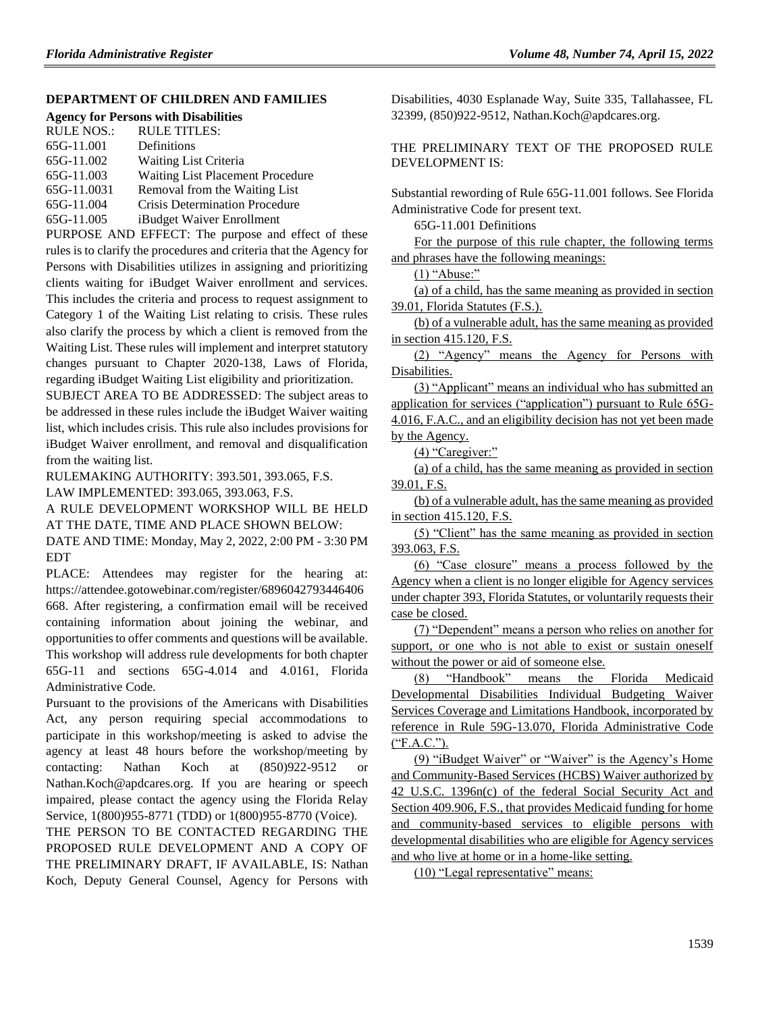#### **[DEPARTMENT OF CHILDREN AND FAMILIES](https://www.flrules.org/gateway/department.asp?id=65)**

#### **[Agency for Persons with Disabilities](https://www.flrules.org/gateway/organization.asp?id=560)**

| <b>RULE NOS.:</b> | <b>RULE TITLES:</b>                   |
|-------------------|---------------------------------------|
| 65G-11.001        | Definitions                           |
| 65G-11.002        | <b>Waiting List Criteria</b>          |
| 65G-11.003        | Waiting List Placement Procedure      |
| 65G-11.0031       | Removal from the Waiting List         |
| 65G-11.004        | <b>Crisis Determination Procedure</b> |
| 65G-11.005        | iBudget Waiver Enrollment             |
|                   |                                       |

PURPOSE AND EFFECT: The purpose and effect of these rules is to clarify the procedures and criteria that the Agency for Persons with Disabilities utilizes in assigning and prioritizing clients waiting for iBudget Waiver enrollment and services. This includes the criteria and process to request assignment to Category 1 of the Waiting List relating to crisis. These rules also clarify the process by which a client is removed from the Waiting List. These rules will implement and interpret statutory changes pursuant to Chapter 2020-138, Laws of Florida, regarding iBudget Waiting List eligibility and prioritization.

SUBJECT AREA TO BE ADDRESSED: The subject areas to be addressed in these rules include the iBudget Waiver waiting list, which includes crisis. This rule also includes provisions for iBudget Waiver enrollment, and removal and disqualification from the waiting list.

RULEMAKING AUTHORITY: [393.501,](https://www.flrules.org/gateway/statute.asp?id=393.501) [393.065,](https://www.flrules.org/gateway/statute.asp?id=%20393.065) F.S.

LAW IMPLEMENTED: [393.065,](https://www.flrules.org/gateway/statute.asp?id=393.065) [393.063,](https://www.flrules.org/gateway/statute.asp?id=%20393.063) F.S.

A RULE DEVELOPMENT WORKSHOP WILL BE HELD AT THE DATE, TIME AND PLACE SHOWN BELOW:

DATE AND TIME: Monday, May 2, 2022, 2:00 PM - 3:30 PM EDT

PLACE: Attendees may register for the hearing at: https://attendee.gotowebinar.com/register/6896042793446406 668. After registering, a confirmation email will be received containing information about joining the webinar, and opportunities to offer comments and questions will be available. This workshop will address rule developments for both chapter 65G-11 and sections 65G-4.014 and 4.0161, Florida Administrative Code.

Pursuant to the provisions of the Americans with Disabilities Act, any person requiring special accommodations to participate in this workshop/meeting is asked to advise the agency at least 48 hours before the workshop/meeting by contacting: Nathan Koch at (850)922-9512 or Nathan.Koch@apdcares.org. If you are hearing or speech impaired, please contact the agency using the Florida Relay Service, 1(800)955-8771 (TDD) or 1(800)955-8770 (Voice).

THE PERSON TO BE CONTACTED REGARDING THE PROPOSED RULE DEVELOPMENT AND A COPY OF THE PRELIMINARY DRAFT, IF AVAILABLE, IS: Nathan Koch, Deputy General Counsel, Agency for Persons with Disabilities, 4030 Esplanade Way, Suite 335, Tallahassee, FL 32399, (850)922-9512, Nathan.Koch@apdcares.org.

THE PRELIMINARY TEXT OF THE PROPOSED RULE DEVELOPMENT IS:

Substantial rewording of Rule 65G-11.001 follows. See Florida Administrative Code for present text.

65G-11.001 Definitions

For the purpose of this rule chapter, the following terms and phrases have the following meanings:

(1) "Abuse:"

(a) of a child, has the same meaning as provided in section 39.01, Florida Statutes (F.S.).

(b) of a vulnerable adult, has the same meaning as provided in section 415.120, F.S.

(2) "Agency" means the Agency for Persons with Disabilities.

(3) "Applicant" means an individual who has submitted an application for services ("application") pursuant to Rule 65G-4.016, F.A.C., and an eligibility decision has not yet been made by the Agency.

(4) "Caregiver:"

(a) of a child, has the same meaning as provided in section 39.01, F.S.

(b) of a vulnerable adult, has the same meaning as provided in section 415.120, F.S.

(5) "Client" has the same meaning as provided in section 393.063, F.S.

(6) "Case closure" means a process followed by the Agency when a client is no longer eligible for Agency services under chapter 393, Florida Statutes, or voluntarily requests their case be closed.

(7) "Dependent" means a person who relies on another for support, or one who is not able to exist or sustain oneself without the power or aid of someone else.

(8) "Handbook" means the Florida Medicaid Developmental Disabilities Individual Budgeting Waiver Services Coverage and Limitations Handbook, incorporated by reference in Rule 59G-13.070, Florida Administrative Code ("F.A.C.").

(9) "iBudget Waiver" or "Waiver" is the Agency's Home and Community-Based Services (HCBS) Waiver authorized by 42 U.S.C. 1396n(c) of the federal Social Security Act and Section 409.906, F.S., that provides Medicaid funding for home and community-based services to eligible persons with developmental disabilities who are eligible for Agency services and who live at home or in a home-like setting.

(10) "Legal representative" means: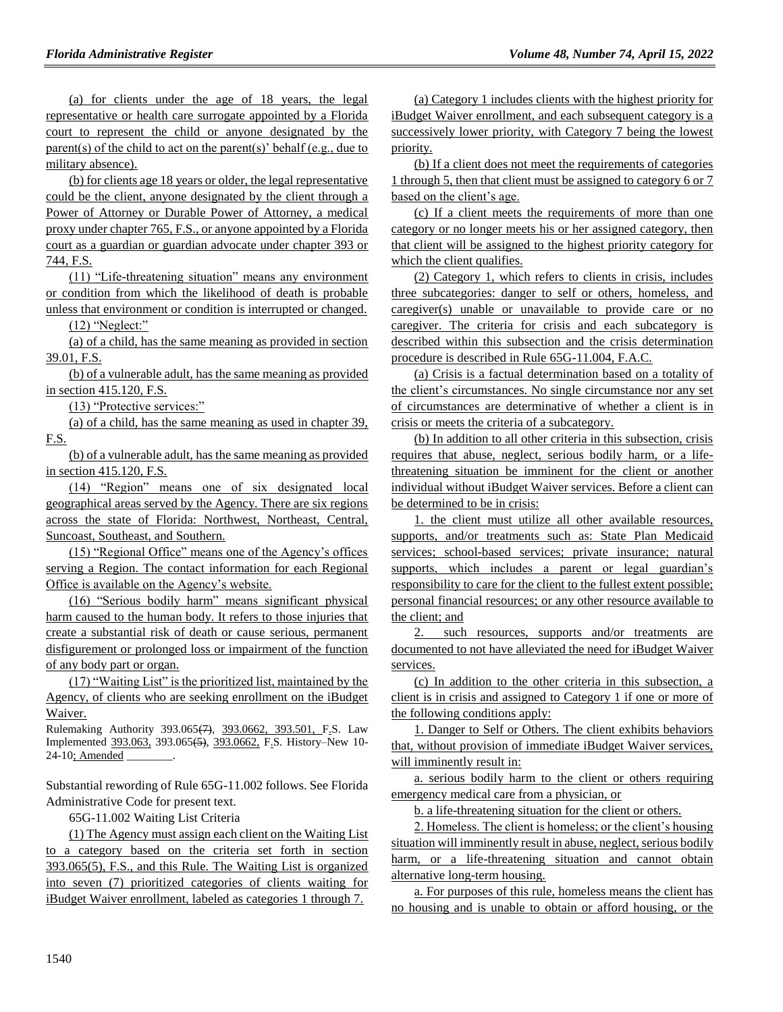(a) for clients under the age of 18 years, the legal representative or health care surrogate appointed by a Florida court to represent the child or anyone designated by the parent(s) of the child to act on the parent(s)' behalf (e.g., due to military absence).

(b) for clients age 18 years or older, the legal representative could be the client, anyone designated by the client through a Power of Attorney or Durable Power of Attorney, a medical proxy under chapter 765, F.S., or anyone appointed by a Florida court as a guardian or guardian advocate under chapter 393 or 744, F.S.

(11) "Life-threatening situation" means any environment or condition from which the likelihood of death is probable unless that environment or condition is interrupted or changed.

 $(12)$  "Neglect:"

(a) of a child, has the same meaning as provided in section 39.01, F.S.

(b) of a vulnerable adult, has the same meaning as provided in section 415.120, F.S.

(13) "Protective services:"

(a) of a child, has the same meaning as used in chapter 39, F.S.

(b) of a vulnerable adult, has the same meaning as provided in section 415.120, F.S.

(14) "Region" means one of six designated local geographical areas served by the Agency. There are six regions across the state of Florida: Northwest, Northeast, Central, Suncoast, Southeast, and Southern.

(15) "Regional Office" means one of the Agency's offices serving a Region. The contact information for each Regional Office is available on the Agency's website.

(16) "Serious bodily harm" means significant physical harm caused to the human body. It refers to those injuries that create a substantial risk of death or cause serious, permanent disfigurement or prolonged loss or impairment of the function of any body part or organ.

(17) "Waiting List" is the prioritized list, maintained by the Agency, of clients who are seeking enrollment on the iBudget Waiver.

Rulemaking Authority 393.065(7), 393.0662, 393.501, F.S. Law Implemented 393.063, 393.065(5), 393.0662, F.S. History–New 10- 24-10; Amended

Substantial rewording of Rule 65G-11.002 follows. See Florida Administrative Code for present text.

65G-11.002 Waiting List Criteria

(1) The Agency must assign each client on the Waiting List to a category based on the criteria set forth in section 393.065(5), F.S., and this Rule. The Waiting List is organized into seven (7) prioritized categories of clients waiting for iBudget Waiver enrollment, labeled as categories 1 through 7.

(a) Category 1 includes clients with the highest priority for iBudget Waiver enrollment, and each subsequent category is a successively lower priority, with Category 7 being the lowest priority.

(b) If a client does not meet the requirements of categories 1 through 5, then that client must be assigned to category 6 or 7 based on the client's age.

(c) If a client meets the requirements of more than one category or no longer meets his or her assigned category, then that client will be assigned to the highest priority category for which the client qualifies.

(2) Category 1, which refers to clients in crisis, includes three subcategories: danger to self or others, homeless, and caregiver(s) unable or unavailable to provide care or no caregiver. The criteria for crisis and each subcategory is described within this subsection and the crisis determination procedure is described in Rule 65G-11.004, F.A.C.

(a) Crisis is a factual determination based on a totality of the client's circumstances. No single circumstance nor any set of circumstances are determinative of whether a client is in crisis or meets the criteria of a subcategory.

(b) In addition to all other criteria in this subsection, crisis requires that abuse, neglect, serious bodily harm, or a lifethreatening situation be imminent for the client or another individual without iBudget Waiver services. Before a client can be determined to be in crisis:

1. the client must utilize all other available resources, supports, and/or treatments such as: State Plan Medicaid services; school-based services; private insurance; natural supports, which includes a parent or legal guardian's responsibility to care for the client to the fullest extent possible; personal financial resources; or any other resource available to the client; and

2. such resources, supports and/or treatments are documented to not have alleviated the need for iBudget Waiver services.

(c) In addition to the other criteria in this subsection, a client is in crisis and assigned to Category 1 if one or more of the following conditions apply:

1. Danger to Self or Others. The client exhibits behaviors that, without provision of immediate iBudget Waiver services, will imminently result in:

a. serious bodily harm to the client or others requiring emergency medical care from a physician, or

b. a life-threatening situation for the client or others.

2. Homeless. The client is homeless; or the client's housing situation will imminently result in abuse, neglect, serious bodily harm, or a life-threatening situation and cannot obtain alternative long-term housing.

a. For purposes of this rule, homeless means the client has no housing and is unable to obtain or afford housing, or the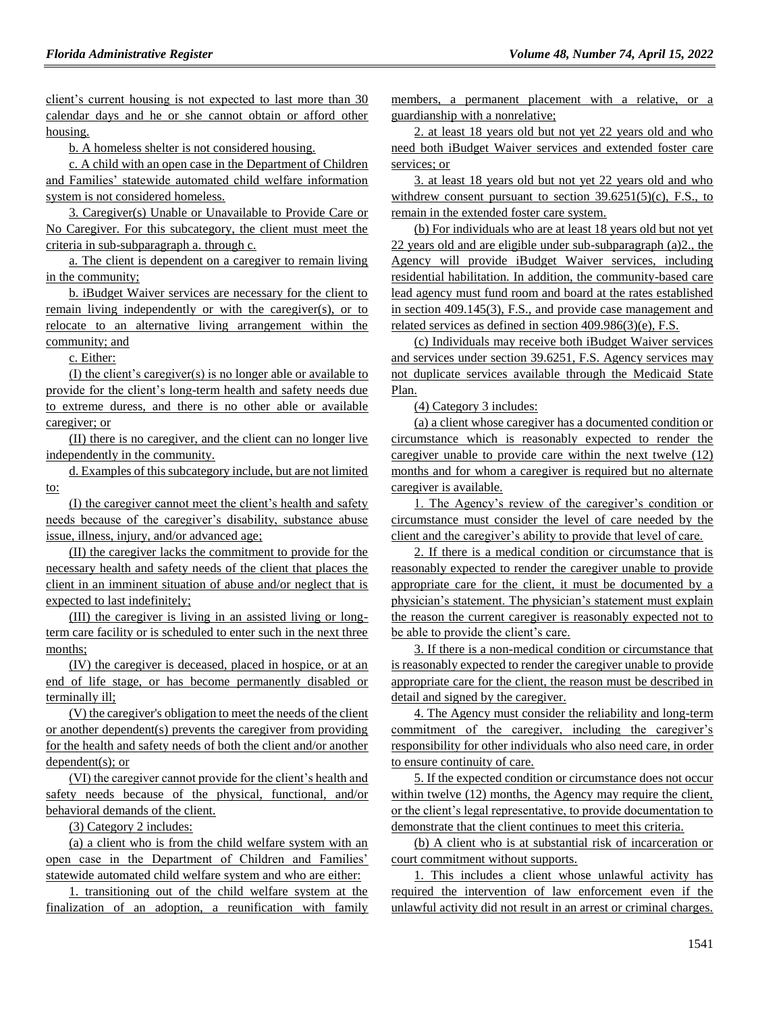client's current housing is not expected to last more than 30 calendar days and he or she cannot obtain or afford other housing.

b. A homeless shelter is not considered housing.

c. A child with an open case in the Department of Children and Families' statewide automated child welfare information system is not considered homeless.

3. Caregiver(s) Unable or Unavailable to Provide Care or No Caregiver. For this subcategory, the client must meet the criteria in sub-subparagraph a. through c.

a. The client is dependent on a caregiver to remain living in the community;

b. iBudget Waiver services are necessary for the client to remain living independently or with the caregiver(s), or to relocate to an alternative living arrangement within the community; and

c. Either:

(I) the client's caregiver(s) is no longer able or available to provide for the client's long-term health and safety needs due to extreme duress, and there is no other able or available caregiver; or

(II) there is no caregiver, and the client can no longer live independently in the community.

d. Examples of this subcategory include, but are not limited to:

(I) the caregiver cannot meet the client's health and safety needs because of the caregiver's disability, substance abuse issue, illness, injury, and/or advanced age;

(II) the caregiver lacks the commitment to provide for the necessary health and safety needs of the client that places the client in an imminent situation of abuse and/or neglect that is expected to last indefinitely;

(III) the caregiver is living in an assisted living or longterm care facility or is scheduled to enter such in the next three months;

(IV) the caregiver is deceased, placed in hospice, or at an end of life stage, or has become permanently disabled or terminally ill;

(V) the caregiver's obligation to meet the needs of the client or another dependent(s) prevents the caregiver from providing for the health and safety needs of both the client and/or another dependent(s); or

(VI) the caregiver cannot provide for the client's health and safety needs because of the physical, functional, and/or behavioral demands of the client.

(3) Category 2 includes:

(a) a client who is from the child welfare system with an open case in the Department of Children and Families' statewide automated child welfare system and who are either:

1. transitioning out of the child welfare system at the finalization of an adoption, a reunification with family members, a permanent placement with a relative, or a guardianship with a nonrelative;

2. at least 18 years old but not yet 22 years old and who need both iBudget Waiver services and extended foster care services; or

3. at least 18 years old but not yet 22 years old and who withdrew consent pursuant to section  $39.6251(5)(c)$ , F.S., to remain in the extended foster care system.

(b) For individuals who are at least 18 years old but not yet 22 years old and are eligible under sub-subparagraph (a)2., the Agency will provide iBudget Waiver services, including residential habilitation. In addition, the community-based care lead agency must fund room and board at the rates established in section 409.145(3), F.S., and provide case management and related services as defined in section 409.986(3)(e), F.S.

(c) Individuals may receive both iBudget Waiver services and services under section 39.6251, F.S. Agency services may not duplicate services available through the Medicaid State Plan.

(4) Category 3 includes:

(a) a client whose caregiver has a documented condition or circumstance which is reasonably expected to render the caregiver unable to provide care within the next twelve (12) months and for whom a caregiver is required but no alternate caregiver is available.

1. The Agency's review of the caregiver's condition or circumstance must consider the level of care needed by the client and the caregiver's ability to provide that level of care.

2. If there is a medical condition or circumstance that is reasonably expected to render the caregiver unable to provide appropriate care for the client, it must be documented by a physician's statement. The physician's statement must explain the reason the current caregiver is reasonably expected not to be able to provide the client's care.

3. If there is a non-medical condition or circumstance that is reasonably expected to render the caregiver unable to provide appropriate care for the client, the reason must be described in detail and signed by the caregiver.

4. The Agency must consider the reliability and long-term commitment of the caregiver, including the caregiver's responsibility for other individuals who also need care, in order to ensure continuity of care.

5. If the expected condition or circumstance does not occur within twelve (12) months, the Agency may require the client, or the client's legal representative, to provide documentation to demonstrate that the client continues to meet this criteria.

(b) A client who is at substantial risk of incarceration or court commitment without supports.

1. This includes a client whose unlawful activity has required the intervention of law enforcement even if the unlawful activity did not result in an arrest or criminal charges.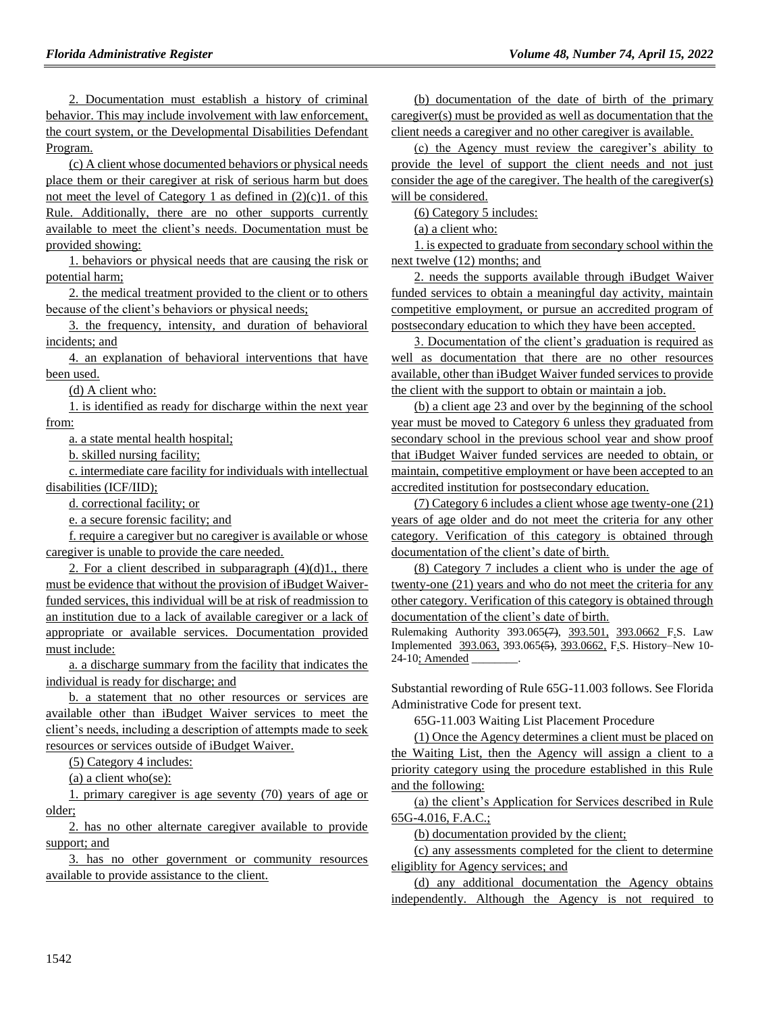2. Documentation must establish a history of criminal behavior. This may include involvement with law enforcement, the court system, or the Developmental Disabilities Defendant Program.

(c) A client whose documented behaviors or physical needs place them or their caregiver at risk of serious harm but does not meet the level of Category 1 as defined in  $(2)(c)$ 1. of this Rule. Additionally, there are no other supports currently available to meet the client's needs. Documentation must be provided showing:

1. behaviors or physical needs that are causing the risk or potential harm;

2. the medical treatment provided to the client or to others because of the client's behaviors or physical needs;

3. the frequency, intensity, and duration of behavioral incidents; and

4. an explanation of behavioral interventions that have been used.

(d) A client who:

1. is identified as ready for discharge within the next year from:

a. a state mental health hospital;

b. skilled nursing facility;

c. intermediate care facility for individuals with intellectual disabilities (ICF/IID);

d. correctional facility; or

e. a secure forensic facility; and

f. require a caregiver but no caregiver is available or whose caregiver is unable to provide the care needed.

2. For a client described in subparagraph  $(4)(d)1$ , there must be evidence that without the provision of iBudget Waiverfunded services, this individual will be at risk of readmission to an institution due to a lack of available caregiver or a lack of appropriate or available services. Documentation provided must include:

a. a discharge summary from the facility that indicates the individual is ready for discharge; and

b. a statement that no other resources or services are available other than iBudget Waiver services to meet the client's needs, including a description of attempts made to seek resources or services outside of iBudget Waiver.

(5) Category 4 includes:

(a) a client who(se):

1. primary caregiver is age seventy (70) years of age or older;

2. has no other alternate caregiver available to provide support; and

3. has no other government or community resources available to provide assistance to the client.

(b) documentation of the date of birth of the primary caregiver(s) must be provided as well as documentation that the client needs a caregiver and no other caregiver is available.

(c) the Agency must review the caregiver's ability to provide the level of support the client needs and not just consider the age of the caregiver. The health of the caregiver(s) will be considered.

(6) Category 5 includes:

(a) a client who:

1. is expected to graduate from secondary school within the next twelve (12) months; and

2. needs the supports available through iBudget Waiver funded services to obtain a meaningful day activity, maintain competitive employment, or pursue an accredited program of postsecondary education to which they have been accepted.

3. Documentation of the client's graduation is required as well as documentation that there are no other resources available, other than iBudget Waiver funded services to provide the client with the support to obtain or maintain a job.

(b) a client age 23 and over by the beginning of the school year must be moved to Category 6 unless they graduated from secondary school in the previous school year and show proof that iBudget Waiver funded services are needed to obtain, or maintain, competitive employment or have been accepted to an accredited institution for postsecondary education.

(7) Category 6 includes a client whose age twenty-one (21) years of age older and do not meet the criteria for any other category. Verification of this category is obtained through documentation of the client's date of birth.

(8) Category 7 includes a client who is under the age of twenty-one (21) years and who do not meet the criteria for any other category. Verification of this category is obtained through documentation of the client's date of birth.

Rulemaking Authority 393.065(7), 393.501, 393.0662 F.S. Law Implemented 393.063, 393.065(5), 393.0662, F.S. History–New 10- 24-10; Amended

Substantial rewording of Rule 65G-11.003 follows. See Florida Administrative Code for present text.

65G-11.003 Waiting List Placement Procedure

(1) Once the Agency determines a client must be placed on the Waiting List, then the Agency will assign a client to a priority category using the procedure established in this Rule and the following:

(a) the client's Application for Services described in Rule 65G-4.016, F.A.C.;

(b) documentation provided by the client;

(c) any assessments completed for the client to determine eligiblity for Agency services; and

(d) any additional documentation the Agency obtains independently. Although the Agency is not required to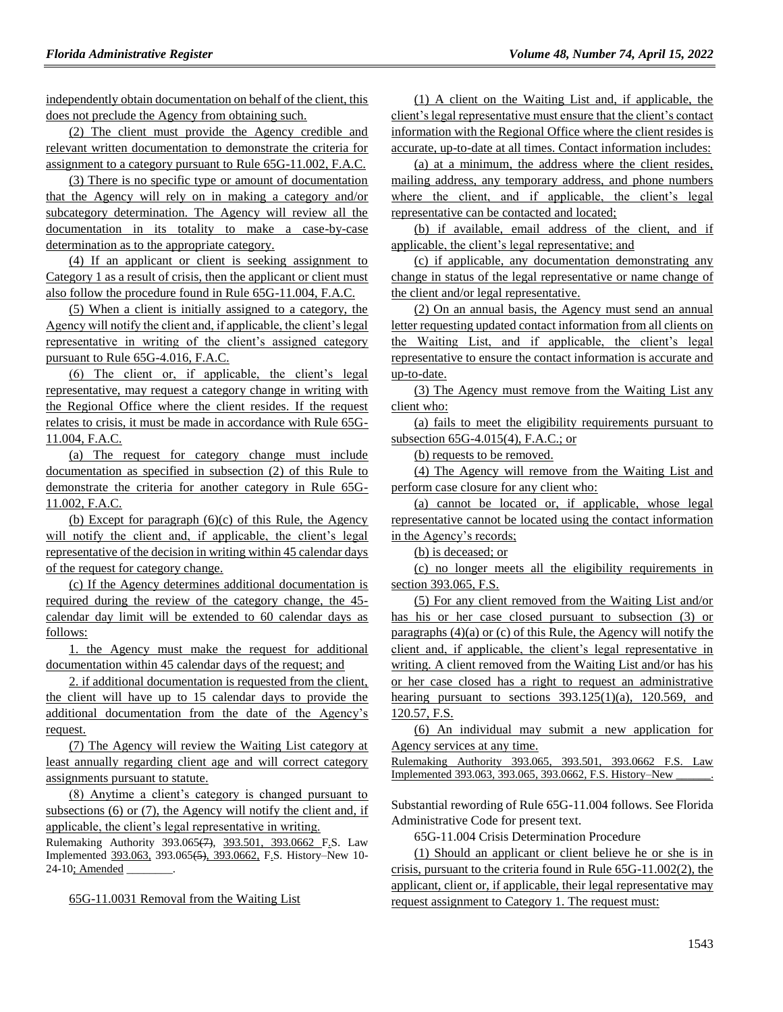independently obtain documentation on behalf of the client, this does not preclude the Agency from obtaining such.

(2) The client must provide the Agency credible and relevant written documentation to demonstrate the criteria for assignment to a category pursuant to Rule 65G-11.002, F.A.C.

(3) There is no specific type or amount of documentation that the Agency will rely on in making a category and/or subcategory determination. The Agency will review all the documentation in its totality to make a case-by-case determination as to the appropriate category.

(4) If an applicant or client is seeking assignment to Category 1 as a result of crisis, then the applicant or client must also follow the procedure found in Rule 65G-11.004, F.A.C.

(5) When a client is initially assigned to a category, the Agency will notify the client and, if applicable, the client's legal representative in writing of the client's assigned category pursuant to Rule 65G-4.016, F.A.C.

(6) The client or, if applicable, the client's legal representative, may request a category change in writing with the Regional Office where the client resides. If the request relates to crisis, it must be made in accordance with Rule 65G-11.004, F.A.C.

(a) The request for category change must include documentation as specified in subsection (2) of this Rule to demonstrate the criteria for another category in Rule 65G-11.002, F.A.C.

(b) Except for paragraph  $(6)(c)$  of this Rule, the Agency will notify the client and, if applicable, the client's legal representative of the decision in writing within 45 calendar days of the request for category change.

(c) If the Agency determines additional documentation is required during the review of the category change, the 45 calendar day limit will be extended to 60 calendar days as follows:

1. the Agency must make the request for additional documentation within 45 calendar days of the request; and

2. if additional documentation is requested from the client, the client will have up to 15 calendar days to provide the additional documentation from the date of the Agency's request.

(7) The Agency will review the Waiting List category at least annually regarding client age and will correct category assignments pursuant to statute.

(8) Anytime a client's category is changed pursuant to subsections (6) or (7), the Agency will notify the client and, if applicable, the client's legal representative in writing.

Rulemaking Authority 393.065(7), 393.501, 393.0662 F.S. Law Implemented 393.063, 393.065(5), 393.0662, F.S. History–New 10- 24-10; Amended

65G-11.0031 Removal from the Waiting List

(1) A client on the Waiting List and, if applicable, the client's legal representative must ensure that the client's contact information with the Regional Office where the client resides is accurate, up-to-date at all times. Contact information includes:

(a) at a minimum, the address where the client resides, mailing address, any temporary address, and phone numbers where the client, and if applicable, the client's legal representative can be contacted and located;

(b) if available, email address of the client, and if applicable, the client's legal representative; and

(c) if applicable, any documentation demonstrating any change in status of the legal representative or name change of the client and/or legal representative.

(2) On an annual basis, the Agency must send an annual letter requesting updated contact information from all clients on the Waiting List, and if applicable, the client's legal representative to ensure the contact information is accurate and up-to-date.

(3) The Agency must remove from the Waiting List any client who:

(a) fails to meet the eligibility requirements pursuant to subsection 65G-4.015(4), F.A.C.; or

(b) requests to be removed.

(4) The Agency will remove from the Waiting List and perform case closure for any client who:

(a) cannot be located or, if applicable, whose legal representative cannot be located using the contact information in the Agency's records;

(b) is deceased; or

(c) no longer meets all the eligibility requirements in section 393.065, F.S.

(5) For any client removed from the Waiting List and/or has his or her case closed pursuant to subsection (3) or paragraphs (4)(a) or (c) of this Rule, the Agency will notify the client and, if applicable, the client's legal representative in writing. A client removed from the Waiting List and/or has his or her case closed has a right to request an administrative hearing pursuant to sections  $393.125(1)(a)$ ,  $120.569$ , and 120.57, F.S.

(6) An individual may submit a new application for Agency services at any time.

Rulemaking Authority 393.065, 393.501, 393.0662 F.S. Law Implemented 393.063, 393.065, 393.0662, F.S. History–New \_\_\_\_\_\_.

Substantial rewording of Rule 65G-11.004 follows. See Florida Administrative Code for present text.

65G-11.004 Crisis Determination Procedure

(1) Should an applicant or client believe he or she is in crisis, pursuant to the criteria found in Rule 65G-11.002(2), the applicant, client or, if applicable, their legal representative may request assignment to Category 1. The request must: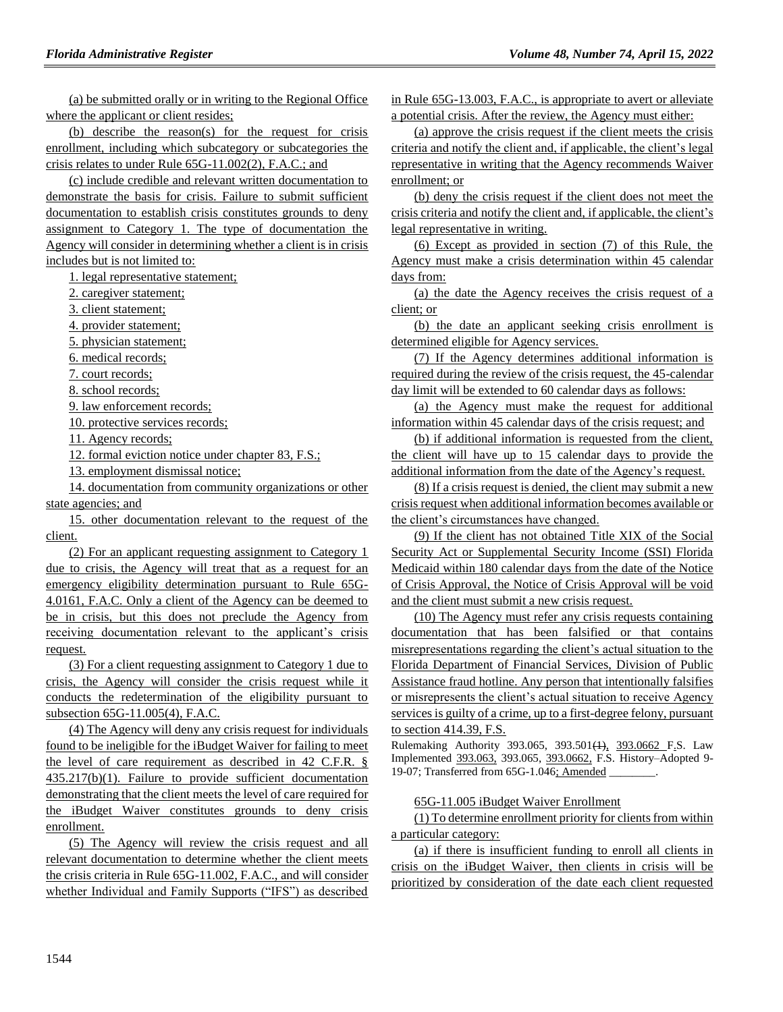(a) be submitted orally or in writing to the Regional Office where the applicant or client resides;

(b) describe the reason(s) for the request for crisis enrollment, including which subcategory or subcategories the crisis relates to under Rule 65G-11.002(2), F.A.C.; and

(c) include credible and relevant written documentation to demonstrate the basis for crisis. Failure to submit sufficient documentation to establish crisis constitutes grounds to deny assignment to Category 1. The type of documentation the Agency will consider in determining whether a client is in crisis includes but is not limited to:

1. legal representative statement;

2. caregiver statement;

3. client statement;

4. provider statement;

5. physician statement;

6. medical records;

7. court records;

8. school records;

9. law enforcement records;

10. protective services records;

11. Agency records;

12. formal eviction notice under chapter 83, F.S.;

13. employment dismissal notice;

14. documentation from community organizations or other state agencies; and

15. other documentation relevant to the request of the client.

(2) For an applicant requesting assignment to Category 1 due to crisis, the Agency will treat that as a request for an emergency eligibility determination pursuant to Rule 65G-4.0161, F.A.C. Only a client of the Agency can be deemed to be in crisis, but this does not preclude the Agency from receiving documentation relevant to the applicant's crisis request.

(3) For a client requesting assignment to Category 1 due to crisis, the Agency will consider the crisis request while it conducts the redetermination of the eligibility pursuant to subsection 65G-11.005(4), F.A.C.

(4) The Agency will deny any crisis request for individuals found to be ineligible for the iBudget Waiver for failing to meet the level of care requirement as described in 42 C.F.R. § 435.217(b)(1). Failure to provide sufficient documentation demonstrating that the client meets the level of care required for the iBudget Waiver constitutes grounds to deny crisis enrollment.

(5) The Agency will review the crisis request and all relevant documentation to determine whether the client meets the crisis criteria in Rule 65G-11.002, F.A.C., and will consider whether Individual and Family Supports ("IFS") as described in Rule 65G-13.003, F.A.C., is appropriate to avert or alleviate a potential crisis. After the review, the Agency must either:

(a) approve the crisis request if the client meets the crisis criteria and notify the client and, if applicable, the client's legal representative in writing that the Agency recommends Waiver enrollment; or

(b) deny the crisis request if the client does not meet the crisis criteria and notify the client and, if applicable, the client's legal representative in writing.

(6) Except as provided in section (7) of this Rule, the Agency must make a crisis determination within 45 calendar days from:

(a) the date the Agency receives the crisis request of a client; or

(b) the date an applicant seeking crisis enrollment is determined eligible for Agency services.

(7) If the Agency determines additional information is required during the review of the crisis request, the 45-calendar day limit will be extended to 60 calendar days as follows:

(a) the Agency must make the request for additional information within 45 calendar days of the crisis request; and

(b) if additional information is requested from the client, the client will have up to 15 calendar days to provide the additional information from the date of the Agency's request.

(8) If a crisis request is denied, the client may submit a new crisis request when additional information becomes available or the client's circumstances have changed.

(9) If the client has not obtained Title XIX of the Social Security Act or Supplemental Security Income (SSI) Florida Medicaid within 180 calendar days from the date of the Notice of Crisis Approval, the Notice of Crisis Approval will be void and the client must submit a new crisis request.

(10) The Agency must refer any crisis requests containing documentation that has been falsified or that contains misrepresentations regarding the client's actual situation to the Florida Department of Financial Services, Division of Public Assistance fraud hotline. Any person that intentionally falsifies or misrepresents the client's actual situation to receive Agency services is guilty of a crime, up to a first-degree felony, pursuant to section 414.39, F.S.

Rulemaking Authority 393.065, 393.501(1), 393.0662 F.S. Law Implemented 393.063, 393.065, 393.0662, F.S. History–Adopted 9- 19-07; Transferred from 65G-1.046; Amended \_\_\_\_\_\_\_\_.

65G-11.005 iBudget Waiver Enrollment

(1) To determine enrollment priority for clients from within a particular category:

(a) if there is insufficient funding to enroll all clients in crisis on the iBudget Waiver, then clients in crisis will be prioritized by consideration of the date each client requested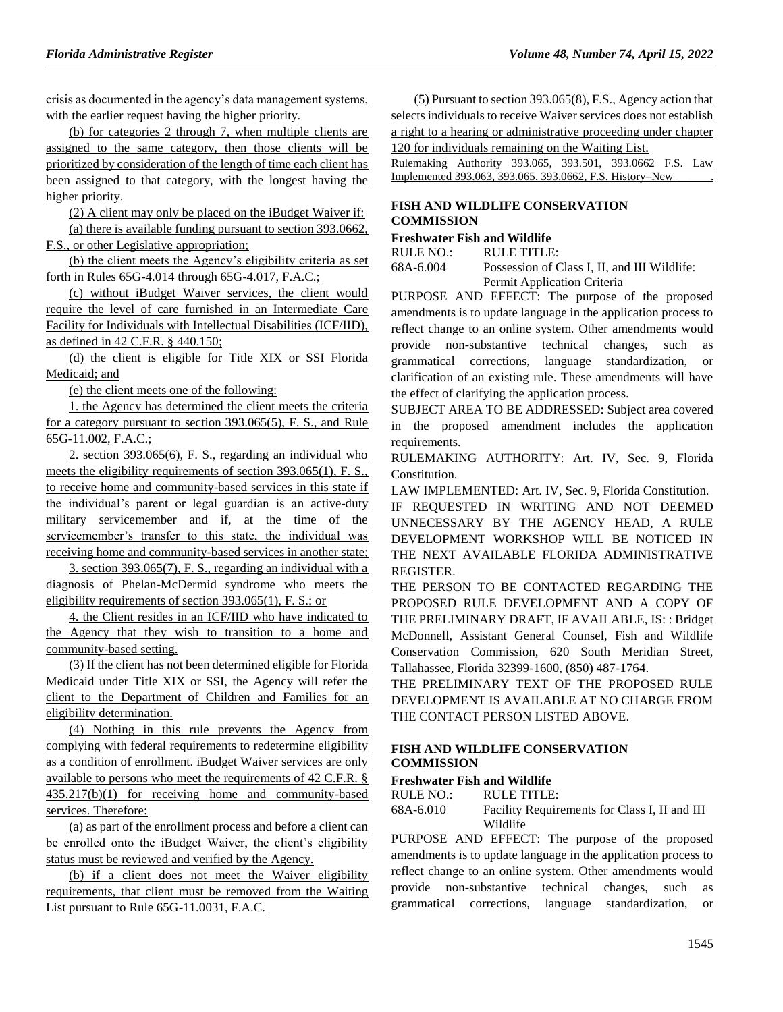crisis as documented in the agency's data management systems, with the earlier request having the higher priority.

(b) for categories 2 through 7, when multiple clients are assigned to the same category, then those clients will be prioritized by consideration of the length of time each client has been assigned to that category, with the longest having the higher priority.

(2) A client may only be placed on the iBudget Waiver if:

(a) there is available funding pursuant to section 393.0662, F.S., or other Legislative appropriation;

(b) the client meets the Agency's eligibility criteria as set forth in Rules 65G-4.014 through 65G-4.017, F.A.C.;

(c) without iBudget Waiver services, the client would require the level of care furnished in an Intermediate Care Facility for Individuals with Intellectual Disabilities (ICF/IID), as defined in 42 C.F.R. § 440.150;

(d) the client is eligible for Title XIX or SSI Florida Medicaid; and

(e) the client meets one of the following:

1. the Agency has determined the client meets the criteria for a category pursuant to section 393.065(5), F. S., and Rule 65G-11.002, F.A.C.;

2. section 393.065(6), F. S., regarding an individual who meets the eligibility requirements of section 393.065(1), F. S., to receive home and community-based services in this state if the individual's parent or legal guardian is an active-duty military servicemember and if, at the time of the servicemember's transfer to this state, the individual was receiving home and community-based services in another state;

3. section 393.065(7), F. S., regarding an individual with a diagnosis of Phelan-McDermid syndrome who meets the eligibility requirements of section 393.065(1), F. S.; or

4. the Client resides in an ICF/IID who have indicated to the Agency that they wish to transition to a home and community-based setting.

(3) If the client has not been determined eligible for Florida Medicaid under Title XIX or SSI, the Agency will refer the client to the Department of Children and Families for an eligibility determination.

(4) Nothing in this rule prevents the Agency from complying with federal requirements to redetermine eligibility as a condition of enrollment. iBudget Waiver services are only available to persons who meet the requirements of 42 C.F.R. § 435.217(b)(1) for receiving home and community-based services. Therefore:

(a) as part of the enrollment process and before a client can be enrolled onto the iBudget Waiver, the client's eligibility status must be reviewed and verified by the Agency.

(b) if a client does not meet the Waiver eligibility requirements, that client must be removed from the Waiting List pursuant to Rule 65G-11.0031, F.A.C.

(5) Pursuant to section 393.065(8), F.S., Agency action that selects individuals to receive Waiver services does not establish a right to a hearing or administrative proceeding under chapter 120 for individuals remaining on the Waiting List.

Rulemaking Authority 393.065, 393.501, 393.0662 F.S. Law Implemented 393.063, 393.065, 393.0662, F.S. History-New

#### **[FISH AND WILDLIFE CONSERVATION](https://www.flrules.org/gateway/department.asp?id=68)  [COMMISSION](https://www.flrules.org/gateway/department.asp?id=68)**

# **[Freshwater Fish and Wildlife](https://www.flrules.org/gateway/organization.asp?id=347)**

RULE NO.: RULE TITLE:

[68A-6.004](https://www.flrules.org/gateway/ruleNo.asp?id=68A-6.004) Possession of Class I, II, and III Wildlife: Permit Application Criteria

PURPOSE AND EFFECT: The purpose of the proposed amendments is to update language in the application process to reflect change to an online system. Other amendments would provide non-substantive technical changes, such as grammatical corrections, language standardization, or clarification of an existing rule. These amendments will have the effect of clarifying the application process.

SUBJECT AREA TO BE ADDRESSED: Subject area covered in the proposed amendment includes the application requirements.

RULEMAKING AUTHORITY: [Art. IV, Sec. 9, Florida](https://www.flrules.org/gateway/flconstitution.asp?id=Art.%20IV,%20Sec.%209,%20Florida%20Constitution.)  [Constitution.](https://www.flrules.org/gateway/flconstitution.asp?id=Art.%20IV,%20Sec.%209,%20Florida%20Constitution.)

LAW IMPLEMENTED: [Art. IV, Sec. 9, Florida Constitution.](https://www.flrules.org/gateway/flconstitution.asp?id=Art.%20IV,%20Sec.%209,%20Florida%20Constitution.)

IF REQUESTED IN WRITING AND NOT DEEMED UNNECESSARY BY THE AGENCY HEAD, A RULE DEVELOPMENT WORKSHOP WILL BE NOTICED IN THE NEXT AVAILABLE FLORIDA ADMINISTRATIVE REGISTER.

THE PERSON TO BE CONTACTED REGARDING THE PROPOSED RULE DEVELOPMENT AND A COPY OF THE PRELIMINARY DRAFT, IF AVAILABLE, IS: : Bridget McDonnell, Assistant General Counsel, Fish and Wildlife Conservation Commission, 620 South Meridian Street, Tallahassee, Florida 32399-1600, (850) 487-1764.

THE PRELIMINARY TEXT OF THE PROPOSED RULE DEVELOPMENT IS AVAILABLE AT NO CHARGE FROM THE CONTACT PERSON LISTED ABOVE.

#### **[FISH AND WILDLIFE CONSERVATION](https://www.flrules.org/gateway/department.asp?id=68)  [COMMISSION](https://www.flrules.org/gateway/department.asp?id=68)**

# **[Freshwater Fish and Wildlife](https://www.flrules.org/gateway/organization.asp?id=347)**

RULE NO.: RULE TITLE:

[68A-6.010](https://www.flrules.org/gateway/ruleNo.asp?id=68A-6.010) Facility Requirements for Class I, II and III Wildlife

PURPOSE AND EFFECT: The purpose of the proposed amendments is to update language in the application process to reflect change to an online system. Other amendments would provide non-substantive technical changes, such as grammatical corrections, language standardization, or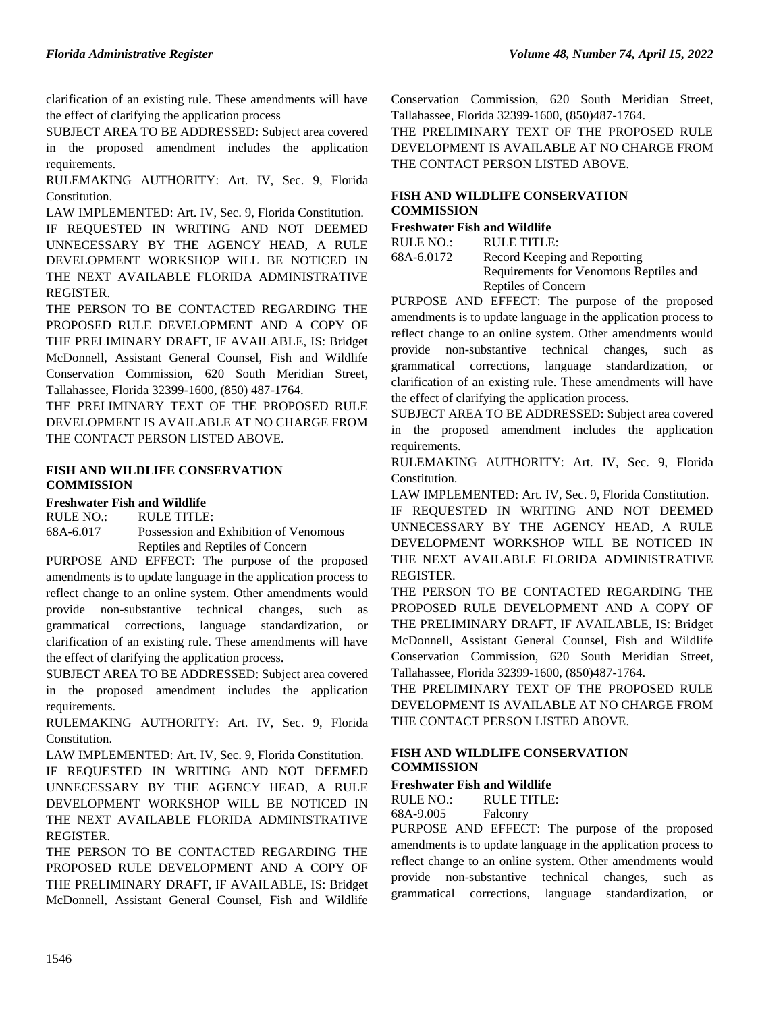clarification of an existing rule. These amendments will have the effect of clarifying the application process

SUBJECT AREA TO BE ADDRESSED: Subject area covered in the proposed amendment includes the application requirements.

RULEMAKING AUTHORITY: [Art. IV, Sec. 9, Florida](https://www.flrules.org/gateway/flconstitution.asp?id=Art.%20IV,%20Sec.%209,%20Florida%20Constitution.)  [Constitution.](https://www.flrules.org/gateway/flconstitution.asp?id=Art.%20IV,%20Sec.%209,%20Florida%20Constitution.)

LAW IMPLEMENTED: [Art. IV, Sec. 9, Florida Constitution.](https://www.flrules.org/gateway/flconstitution.asp?id=Art.%20IV,%20Sec.%209,%20Florida%20Constitution.)

IF REQUESTED IN WRITING AND NOT DEEMED UNNECESSARY BY THE AGENCY HEAD, A RULE DEVELOPMENT WORKSHOP WILL BE NOTICED IN THE NEXT AVAILABLE FLORIDA ADMINISTRATIVE REGISTER.

THE PERSON TO BE CONTACTED REGARDING THE PROPOSED RULE DEVELOPMENT AND A COPY OF THE PRELIMINARY DRAFT, IF AVAILABLE, IS: Bridget McDonnell, Assistant General Counsel, Fish and Wildlife Conservation Commission, 620 South Meridian Street, Tallahassee, Florida 32399-1600, (850) 487-1764.

THE PRELIMINARY TEXT OF THE PROPOSED RULE DEVELOPMENT IS AVAILABLE AT NO CHARGE FROM THE CONTACT PERSON LISTED ABOVE.

#### **[FISH AND WILDLIFE CONSERVATION](https://www.flrules.org/gateway/department.asp?id=68)  [COMMISSION](https://www.flrules.org/gateway/department.asp?id=68)**

#### **[Freshwater Fish and Wildlife](https://www.flrules.org/gateway/organization.asp?id=347)**

RULE NO.: RULE TITLE:

[68A-6.017](https://www.flrules.org/gateway/ruleNo.asp?id=68A-6.017) Possession and Exhibition of Venomous Reptiles and Reptiles of Concern

PURPOSE AND EFFECT: The purpose of the proposed amendments is to update language in the application process to reflect change to an online system. Other amendments would provide non-substantive technical changes, such as grammatical corrections, language standardization, or clarification of an existing rule. These amendments will have the effect of clarifying the application process.

SUBJECT AREA TO BE ADDRESSED: Subject area covered in the proposed amendment includes the application requirements.

RULEMAKING AUTHORITY: [Art. IV, Sec. 9, Florida](https://www.flrules.org/gateway/flconstitution.asp?id=Art.%20IV,%20Sec.%209,%20Florida%20Constitution.)  [Constitution.](https://www.flrules.org/gateway/flconstitution.asp?id=Art.%20IV,%20Sec.%209,%20Florida%20Constitution.)

LAW IMPLEMENTED: [Art. IV, Sec. 9, Florida Constitution.](https://www.flrules.org/gateway/flconstitution.asp?id=Art.%20IV,%20Sec.%209,%20Florida%20Constitution.) IF REQUESTED IN WRITING AND NOT DEEMED UNNECESSARY BY THE AGENCY HEAD, A RULE DEVELOPMENT WORKSHOP WILL BE NOTICED IN THE NEXT AVAILABLE FLORIDA ADMINISTRATIVE REGISTER.

THE PERSON TO BE CONTACTED REGARDING THE PROPOSED RULE DEVELOPMENT AND A COPY OF THE PRELIMINARY DRAFT, IF AVAILABLE, IS: Bridget McDonnell, Assistant General Counsel, Fish and Wildlife

Conservation Commission, 620 South Meridian Street, Tallahassee, Florida 32399-1600, (850)487-1764.

THE PRELIMINARY TEXT OF THE PROPOSED RULE DEVELOPMENT IS AVAILABLE AT NO CHARGE FROM THE CONTACT PERSON LISTED ABOVE.

#### **[FISH AND WILDLIFE CONSERVATION](https://www.flrules.org/gateway/department.asp?id=68)  [COMMISSION](https://www.flrules.org/gateway/department.asp?id=68)**

#### **[Freshwater Fish and Wildlife](https://www.flrules.org/gateway/organization.asp?id=347)**

RULE NO.: RULE TITLE:

[68A-6.0172](https://www.flrules.org/gateway/ruleNo.asp?id=68A-6.0172) Record Keeping and Reporting Requirements for Venomous Reptiles and Reptiles of Concern

PURPOSE AND EFFECT: The purpose of the proposed amendments is to update language in the application process to reflect change to an online system. Other amendments would provide non-substantive technical changes, such as grammatical corrections, language standardization, or clarification of an existing rule. These amendments will have the effect of clarifying the application process.

SUBJECT AREA TO BE ADDRESSED: Subject area covered in the proposed amendment includes the application requirements.

RULEMAKING AUTHORITY: [Art. IV, Sec. 9, Florida](https://www.flrules.org/gateway/flconstitution.asp?id=Art.%20IV,%20Sec.%209,%20Florida%20Constitution.)  [Constitution.](https://www.flrules.org/gateway/flconstitution.asp?id=Art.%20IV,%20Sec.%209,%20Florida%20Constitution.)

LAW IMPLEMENTED: [Art. IV, Sec. 9, Florida Constitution.](https://www.flrules.org/gateway/flconstitution.asp?id=Art.%20IV,%20Sec.%209,%20Florida%20Constitution.)

IF REQUESTED IN WRITING AND NOT DEEMED UNNECESSARY BY THE AGENCY HEAD, A RULE DEVELOPMENT WORKSHOP WILL BE NOTICED IN THE NEXT AVAILABLE FLORIDA ADMINISTRATIVE REGISTER.

THE PERSON TO BE CONTACTED REGARDING THE PROPOSED RULE DEVELOPMENT AND A COPY OF THE PRELIMINARY DRAFT, IF AVAILABLE, IS: Bridget McDonnell, Assistant General Counsel, Fish and Wildlife Conservation Commission, 620 South Meridian Street, Tallahassee, Florida 32399-1600, (850)487-1764.

THE PRELIMINARY TEXT OF THE PROPOSED RULE DEVELOPMENT IS AVAILABLE AT NO CHARGE FROM THE CONTACT PERSON LISTED ABOVE.

#### **[FISH AND WILDLIFE CONSERVATION](https://www.flrules.org/gateway/department.asp?id=68)  [COMMISSION](https://www.flrules.org/gateway/department.asp?id=68)**

#### **[Freshwater Fish and Wildlife](https://www.flrules.org/gateway/organization.asp?id=347)**

RULE NO.: RULE TITLE:

[68A-9.005](https://www.flrules.org/gateway/ruleNo.asp?id=68A-9.005) Falconry

PURPOSE AND EFFECT: The purpose of the proposed amendments is to update language in the application process to reflect change to an online system. Other amendments would provide non-substantive technical changes, such as grammatical corrections, language standardization, or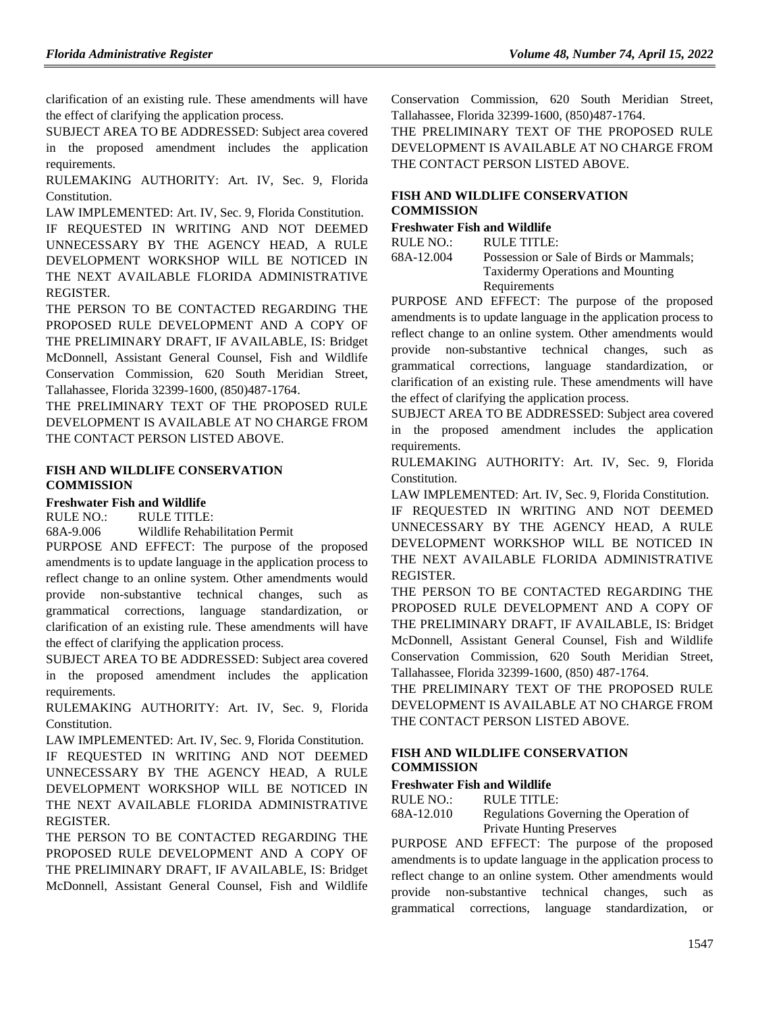clarification of an existing rule. These amendments will have the effect of clarifying the application process.

SUBJECT AREA TO BE ADDRESSED: Subject area covered in the proposed amendment includes the application requirements.

RULEMAKING AUTHORITY: [Art. IV, Sec. 9, Florida](https://www.flrules.org/gateway/flconstitution.asp?id=Art.%20IV,%20Sec.%209,%20Florida%20Constitution.)  [Constitution.](https://www.flrules.org/gateway/flconstitution.asp?id=Art.%20IV,%20Sec.%209,%20Florida%20Constitution.)

LAW IMPLEMENTED: [Art. IV, Sec. 9, Florida Constitution.](https://www.flrules.org/gateway/flconstitution.asp?id=Art.%20IV,%20Sec.%209,%20Florida%20Constitution.)

IF REQUESTED IN WRITING AND NOT DEEMED UNNECESSARY BY THE AGENCY HEAD, A RULE DEVELOPMENT WORKSHOP WILL BE NOTICED IN THE NEXT AVAILABLE FLORIDA ADMINISTRATIVE REGISTER.

THE PERSON TO BE CONTACTED REGARDING THE PROPOSED RULE DEVELOPMENT AND A COPY OF THE PRELIMINARY DRAFT, IF AVAILABLE, IS: Bridget McDonnell, Assistant General Counsel, Fish and Wildlife Conservation Commission, 620 South Meridian Street, Tallahassee, Florida 32399-1600, (850)487-1764.

THE PRELIMINARY TEXT OF THE PROPOSED RULE DEVELOPMENT IS AVAILABLE AT NO CHARGE FROM THE CONTACT PERSON LISTED ABOVE.

#### **[FISH AND WILDLIFE CONSERVATION](https://www.flrules.org/gateway/department.asp?id=68)  [COMMISSION](https://www.flrules.org/gateway/department.asp?id=68)**

#### **[Freshwater Fish and Wildlife](https://www.flrules.org/gateway/organization.asp?id=347)**

RULE NO.: RULE TITLE:

[68A-9.006](https://www.flrules.org/gateway/ruleNo.asp?id=68A-9.006) Wildlife Rehabilitation Permit

PURPOSE AND EFFECT: The purpose of the proposed amendments is to update language in the application process to reflect change to an online system. Other amendments would provide non-substantive technical changes, such as grammatical corrections, language standardization, or clarification of an existing rule. These amendments will have the effect of clarifying the application process.

SUBJECT AREA TO BE ADDRESSED: Subject area covered in the proposed amendment includes the application requirements.

RULEMAKING AUTHORITY: [Art. IV, Sec. 9, Florida](https://www.flrules.org/gateway/flconstitution.asp?id=Art.%20IV,%20Sec.%209,%20Florida%20Constitution.)  [Constitution.](https://www.flrules.org/gateway/flconstitution.asp?id=Art.%20IV,%20Sec.%209,%20Florida%20Constitution.)

LAW IMPLEMENTED: [Art. IV, Sec. 9, Florida Constitution.](https://www.flrules.org/gateway/flconstitution.asp?id=Art.%20IV,%20Sec.%209,%20Florida%20Constitution.)

IF REQUESTED IN WRITING AND NOT DEEMED UNNECESSARY BY THE AGENCY HEAD, A RULE DEVELOPMENT WORKSHOP WILL BE NOTICED IN THE NEXT AVAILABLE FLORIDA ADMINISTRATIVE **REGISTER** 

THE PERSON TO BE CONTACTED REGARDING THE PROPOSED RULE DEVELOPMENT AND A COPY OF THE PRELIMINARY DRAFT, IF AVAILABLE, IS: Bridget McDonnell, Assistant General Counsel, Fish and Wildlife

Conservation Commission, 620 South Meridian Street, Tallahassee, Florida 32399-1600, (850)487-1764.

THE PRELIMINARY TEXT OF THE PROPOSED RULE DEVELOPMENT IS AVAILABLE AT NO CHARGE FROM THE CONTACT PERSON LISTED ABOVE.

### **[FISH AND WILDLIFE CONSERVATION](https://www.flrules.org/gateway/department.asp?id=68)  [COMMISSION](https://www.flrules.org/gateway/department.asp?id=68)**

### **[Freshwater Fish and Wildlife](https://www.flrules.org/gateway/organization.asp?id=347)**

RULE NO.: RULE TITLE:

[68A-12.004](https://www.flrules.org/gateway/ruleNo.asp?id=68A-12.004) Possession or Sale of Birds or Mammals; Taxidermy Operations and Mounting Requirements

PURPOSE AND EFFECT: The purpose of the proposed amendments is to update language in the application process to reflect change to an online system. Other amendments would provide non-substantive technical changes, such as grammatical corrections, language standardization, or clarification of an existing rule. These amendments will have the effect of clarifying the application process.

SUBJECT AREA TO BE ADDRESSED: Subject area covered in the proposed amendment includes the application requirements.

RULEMAKING AUTHORITY: [Art. IV, Sec. 9, Florida](https://www.flrules.org/gateway/flconstitution.asp?id=Art.%20IV,%20Sec.%209,%20Florida%20Constitution.)  [Constitution.](https://www.flrules.org/gateway/flconstitution.asp?id=Art.%20IV,%20Sec.%209,%20Florida%20Constitution.)

LAW IMPLEMENTED: [Art. IV, Sec. 9, Florida Constitution.](https://www.flrules.org/gateway/flconstitution.asp?id=Art.%20IV,%20Sec.%209,%20Florida%20Constitution.)

IF REQUESTED IN WRITING AND NOT DEEMED UNNECESSARY BY THE AGENCY HEAD, A RULE DEVELOPMENT WORKSHOP WILL BE NOTICED IN THE NEXT AVAILABLE FLORIDA ADMINISTRATIVE REGISTER.

THE PERSON TO BE CONTACTED REGARDING THE PROPOSED RULE DEVELOPMENT AND A COPY OF THE PRELIMINARY DRAFT, IF AVAILABLE, IS: Bridget McDonnell, Assistant General Counsel, Fish and Wildlife Conservation Commission, 620 South Meridian Street, Tallahassee, Florida 32399-1600, (850) 487-1764.

THE PRELIMINARY TEXT OF THE PROPOSED RULE DEVELOPMENT IS AVAILABLE AT NO CHARGE FROM THE CONTACT PERSON LISTED ABOVE.

#### **[FISH AND WILDLIFE CONSERVATION](https://www.flrules.org/gateway/department.asp?id=68)  [COMMISSION](https://www.flrules.org/gateway/department.asp?id=68)**

# **[Freshwater Fish](https://www.flrules.org/gateway/organization.asp?id=347) and Wildlife**

RULE NO.: RULE TITLE:

| 68A-12.010 | Regulations Governing the Operation of |
|------------|----------------------------------------|
|            | <b>Private Hunting Preserves</b>       |

PURPOSE AND EFFECT: The purpose of the proposed amendments is to update language in the application process to reflect change to an online system. Other amendments would provide non-substantive technical changes, such as grammatical corrections, language standardization, or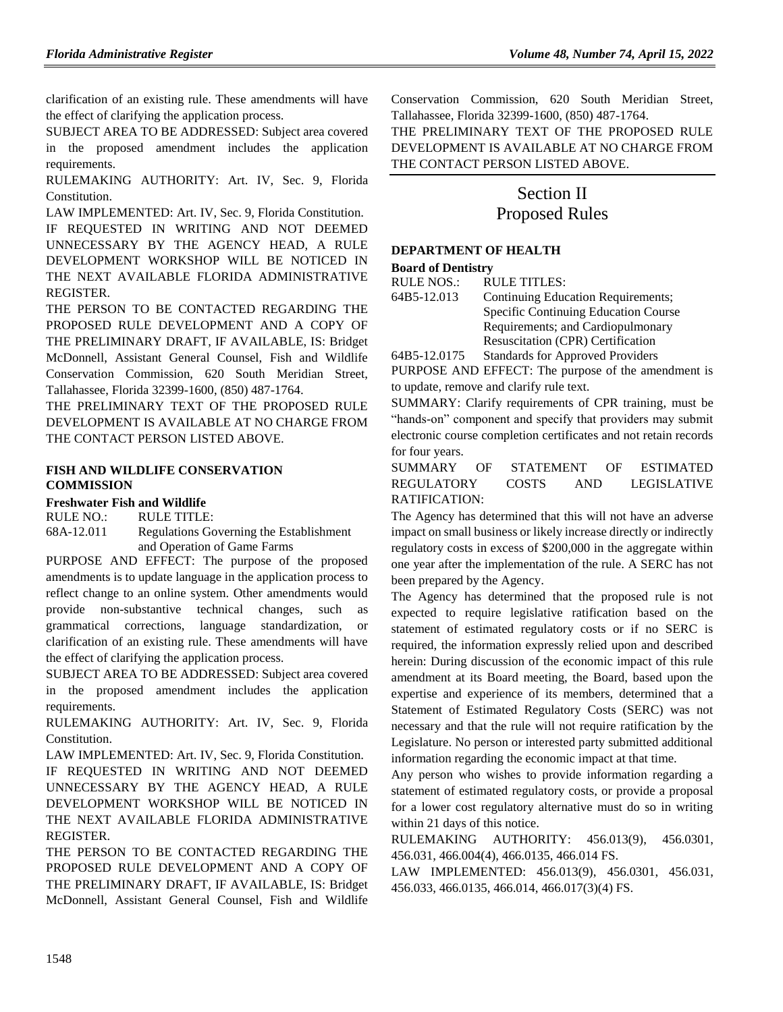clarification of an existing rule. These amendments will have the effect of clarifying the application process.

SUBJECT AREA TO BE ADDRESSED: Subject area covered in the proposed amendment includes the application requirements.

RULEMAKING AUTHORITY: [Art. IV, Sec. 9, Florida](https://www.flrules.org/gateway/flconstitution.asp?id=Art.%20IV,%20Sec.%209,%20Florida%20Constitution.)  [Constitution.](https://www.flrules.org/gateway/flconstitution.asp?id=Art.%20IV,%20Sec.%209,%20Florida%20Constitution.)

LAW IMPLEMENTED: [Art. IV, Sec. 9, Florida Constitution.](https://www.flrules.org/gateway/flconstitution.asp?id=Art.%20IV,%20Sec.%209,%20Florida%20Constitution.) IF REQUESTED IN WRITING AND NOT DEEMED UNNECESSARY BY THE AGENCY HEAD, A RULE DEVELOPMENT WORKSHOP WILL BE NOTICED IN THE NEXT AVAILABLE FLORIDA ADMINISTRATIVE REGISTER.

THE PERSON TO BE CONTACTED REGARDING THE PROPOSED RULE DEVELOPMENT AND A COPY OF THE PRELIMINARY DRAFT, IF AVAILABLE, IS: Bridget McDonnell, Assistant General Counsel, Fish and Wildlife Conservation Commission, 620 South Meridian Street, Tallahassee, Florida 32399-1600, (850) 487-1764.

THE PRELIMINARY TEXT OF THE PROPOSED RULE DEVELOPMENT IS AVAILABLE AT NO CHARGE FROM THE CONTACT PERSON LISTED ABOVE.

#### **[FISH AND WILDLIFE CONSERVATION](https://www.flrules.org/gateway/department.asp?id=68)  [COMMISSION](https://www.flrules.org/gateway/department.asp?id=68)**

#### **[Freshwater Fish and Wildlife](https://www.flrules.org/gateway/organization.asp?id=347)**

RULE NO.: RULE TITLE:

[68A-12.011](https://www.flrules.org/gateway/ruleNo.asp?id=68A-12.011) Regulations Governing the Establishment and Operation of Game Farms

PURPOSE AND EFFECT: The purpose of the proposed amendments is to update language in the application process to reflect change to an online system. Other amendments would provide non-substantive technical changes, such as grammatical corrections, language standardization, or clarification of an existing rule. These amendments will have the effect of clarifying the application process.

SUBJECT AREA TO BE ADDRESSED: Subject area covered in the proposed amendment includes the application requirements.

RULEMAKING AUTHORITY: [Art. IV, Sec. 9, Florida](https://www.flrules.org/gateway/flconstitution.asp?id=Art.%20IV,%20Sec.%209,%20Florida%20Constitution.)  [Constitution.](https://www.flrules.org/gateway/flconstitution.asp?id=Art.%20IV,%20Sec.%209,%20Florida%20Constitution.)

LAW IMPLEMENTED: [Art. IV, Sec. 9, Florida Constitution.](https://www.flrules.org/gateway/flconstitution.asp?id=Art.%20IV,%20Sec.%209,%20Florida%20Constitution.) IF REQUESTED IN WRITING AND NOT DEEMED UNNECESSARY BY THE AGENCY HEAD, A RULE DEVELOPMENT WORKSHOP WILL BE NOTICED IN THE NEXT AVAILABLE FLORIDA ADMINISTRATIVE REGISTER.

THE PERSON TO BE CONTACTED REGARDING THE PROPOSED RULE DEVELOPMENT AND A COPY OF THE PRELIMINARY DRAFT, IF AVAILABLE, IS: Bridget McDonnell, Assistant General Counsel, Fish and Wildlife

Conservation Commission, 620 South Meridian Street, Tallahassee, Florida 32399-1600, (850) 487-1764.

THE PRELIMINARY TEXT OF THE PROPOSED RULE DEVELOPMENT IS AVAILABLE AT NO CHARGE FROM THE CONTACT PERSON LISTED ABOVE.

# Section II Proposed Rules

# **[DEPARTMENT OF HEALTH](https://www.flrules.org/gateway/department.asp?id=64)**

**[Board of Dentistry](https://www.flrules.org/gateway/organization.asp?id=328)**

RULE NOS.: RULE TITLES:

[64B5-12.013](https://www.flrules.org/gateway/ruleNo.asp?id=64B5-12.013) Continuing Education Requirements; Specific Continuing Education Course Requirements; and Cardiopulmonary Resuscitation (CPR) Certification

[64B5-12.0175](https://www.flrules.org/gateway/ruleNo.asp?id=64B5-12.0175) Standards for Approved Providers PURPOSE AND EFFECT: The purpose of the amendment is to update, remove and clarify rule text.

SUMMARY: Clarify requirements of CPR training, must be "hands-on" component and specify that providers may submit electronic course completion certificates and not retain records for four years.

# SUMMARY OF STATEMENT OF ESTIMATED REGULATORY COSTS AND LEGISLATIVE RATIFICATION:

The Agency has determined that this will not have an adverse impact on small business or likely increase directly or indirectly regulatory costs in excess of \$200,000 in the aggregate within one year after the implementation of the rule. A SERC has not been prepared by the Agency.

The Agency has determined that the proposed rule is not expected to require legislative ratification based on the statement of estimated regulatory costs or if no SERC is required, the information expressly relied upon and described herein: During discussion of the economic impact of this rule amendment at its Board meeting, the Board, based upon the expertise and experience of its members, determined that a Statement of Estimated Regulatory Costs (SERC) was not necessary and that the rule will not require ratification by the Legislature. No person or interested party submitted additional information regarding the economic impact at that time.

Any person who wishes to provide information regarding a statement of estimated regulatory costs, or provide a proposal for a lower cost regulatory alternative must do so in writing within 21 days of this notice.

RULEMAKING AUTHORITY: [456.013\(9\),](https://www.flrules.org/gateway/statute.asp?id=456.013(9)) [456.0301,](https://www.flrules.org/gateway/statute.asp?id=%20456.0301) [456.031,](https://www.flrules.org/gateway/statute.asp?id=%20456.031) [466.004\(4\),](https://www.flrules.org/gateway/statute.asp?id=%20466.004(4)) [466.0135,](https://www.flrules.org/gateway/statute.asp?id=%20466.0135) [466.014 FS.](https://www.flrules.org/gateway/statute.asp?id=%20466.014%20FS.)

LAW IMPLEMENTED: [456.013\(9\),](https://www.flrules.org/gateway/statute.asp?id=456.013(9)) [456.0301,](https://www.flrules.org/gateway/statute.asp?id=%20456.0301) [456.031,](https://www.flrules.org/gateway/statute.asp?id=%20456.031) [456.033,](https://www.flrules.org/gateway/statute.asp?id=%20456.033) [466.0135,](https://www.flrules.org/gateway/statute.asp?id=%20466.0135) [466.014,](https://www.flrules.org/gateway/statute.asp?id=%20466.014) [466.017\(3\)\(4\) FS.](https://www.flrules.org/gateway/statute.asp?id=%20466.017(3)(4)%20FS.)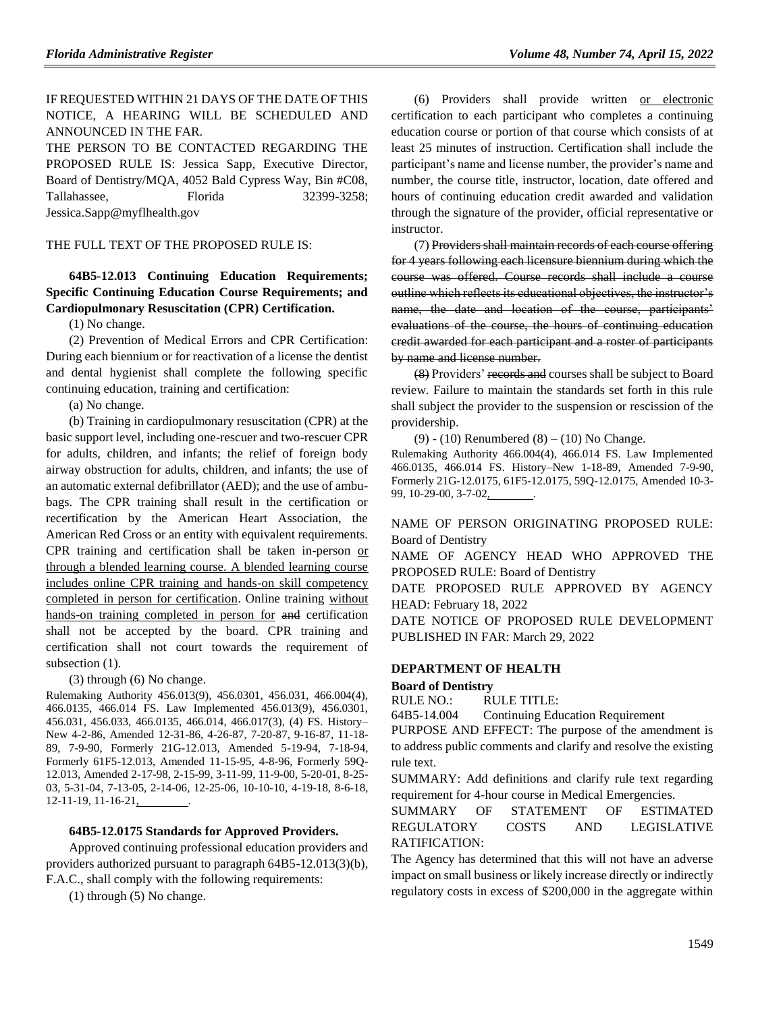# IF REQUESTED WITHIN 21 DAYS OF THE DATE OF THIS NOTICE, A HEARING WILL BE SCHEDULED AND ANNOUNCED IN THE FAR.

THE PERSON TO BE CONTACTED REGARDING THE PROPOSED RULE IS: Jessica Sapp, Executive Director, Board of Dentistry/MQA, 4052 Bald Cypress Way, Bin #C08, Tallahassee, Florida 32399-3258; Jessica.Sapp@myflhealth.gov

THE FULL TEXT OF THE PROPOSED RULE IS:

### **64B5-12.013 Continuing Education Requirements; Specific Continuing Education Course Requirements; and Cardiopulmonary Resuscitation (CPR) Certification.**

(1) No change.

(2) Prevention of Medical Errors and CPR Certification: During each biennium or for reactivation of a license the dentist and dental hygienist shall complete the following specific continuing education, training and certification:

(a) No change.

(b) Training in cardiopulmonary resuscitation (CPR) at the basic support level, including one-rescuer and two-rescuer CPR for adults, children, and infants; the relief of foreign body airway obstruction for adults, children, and infants; the use of an automatic external defibrillator (AED); and the use of ambubags. The CPR training shall result in the certification or recertification by the American Heart Association, the American Red Cross or an entity with equivalent requirements. CPR training and certification shall be taken in-person or through a blended learning course. A blended learning course includes online CPR training and hands-on skill competency completed in person for certification. Online training without hands-on training completed in person for and certification shall not be accepted by the board. CPR training and certification shall not court towards the requirement of subsection  $(1)$ .

(3) through (6) No change.

Rulemaking Authority 456.013(9), 456.0301, 456.031, 466.004(4), 466.0135, 466.014 FS. Law Implemented 456.013(9), 456.0301, 456.031, 456.033, 466.0135, 466.014, 466.017(3), (4) FS. History– New 4-2-86, Amended 12-31-86, 4-26-87, 7-20-87, 9-16-87, 11-18- 89, 7-9-90, Formerly 21G-12.013, Amended 5-19-94, 7-18-94, Formerly 61F5-12.013, Amended 11-15-95, 4-8-96, Formerly 59Q-12.013, Amended 2-17-98, 2-15-99, 3-11-99, 11-9-00, 5-20-01, 8-25- 03, 5-31-04, 7-13-05, 2-14-06, 12-25-06, 10-10-10, 4-19-18, 8-6-18,  $12-11-19$ ,  $11-16-21$ 

#### **64B5-12.0175 Standards for Approved Providers.**

Approved continuing professional education providers and providers authorized pursuant to paragraph 64B5-12.013(3)(b), F.A.C., shall comply with the following requirements:

(1) through (5) No change.

(6) Providers shall provide written or electronic certification to each participant who completes a continuing education course or portion of that course which consists of at least 25 minutes of instruction. Certification shall include the participant's name and license number, the provider's name and number, the course title, instructor, location, date offered and hours of continuing education credit awarded and validation through the signature of the provider, official representative or instructor.

(7) Providers shall maintain records of each course offering for 4 years following each licensure biennium during which the course was offered. Course records shall include a course outline which reflects its educational objectives, the instructor's name, the date and location of the course, participants' evaluations of the course, the hours of continuing education credit awarded for each participant and a roster of participants by name and license number.

(8) Providers' records and courses shall be subject to Board review. Failure to maintain the standards set forth in this rule shall subject the provider to the suspension or rescission of the providership.

(9) - (10) Renumbered  $(8) - (10)$  No Change.

Rulemaking Authority 466.004(4), 466.014 FS. Law Implemented 466.0135, 466.014 FS. History–New 1-18-89, Amended 7-9-90, Formerly 21G-12.0175, 61F5-12.0175, 59Q-12.0175, Amended 10-3- 99, 10-29-00, 3-7-02, .

NAME OF PERSON ORIGINATING PROPOSED RULE: Board of Dentistry

NAME OF AGENCY HEAD WHO APPROVED THE PROPOSED RULE: Board of Dentistry

DATE PROPOSED RULE APPROVED BY AGENCY HEAD: February 18, 2022

DATE NOTICE OF PROPOSED RULE DEVELOPMENT PUBLISHED IN FAR: March 29, 2022

#### **[DEPARTMENT OF HEALTH](https://www.flrules.org/gateway/department.asp?id=64)**

#### **[Board of Dentistry](https://www.flrules.org/gateway/organization.asp?id=328)**

RULE NO.: RULE TITLE:

[64B5-14.004](https://www.flrules.org/gateway/ruleNo.asp?id=64B5-14.004) Continuing Education Requirement

PURPOSE AND EFFECT: The purpose of the amendment is to address public comments and clarify and resolve the existing rule text.

SUMMARY: Add definitions and clarify rule text regarding requirement for 4-hour course in Medical Emergencies.

SUMMARY OF STATEMENT OF ESTIMATED REGULATORY COSTS AND LEGISLATIVE RATIFICATION:

The Agency has determined that this will not have an adverse impact on small business or likely increase directly or indirectly regulatory costs in excess of \$200,000 in the aggregate within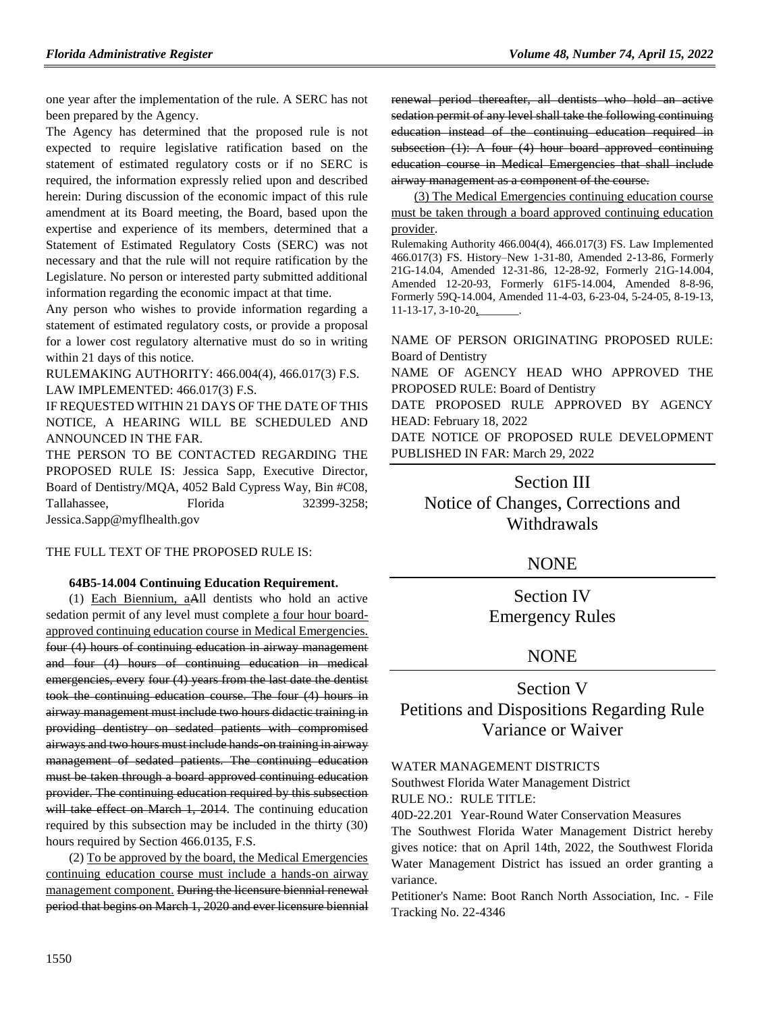one year after the implementation of the rule. A SERC has not been prepared by the Agency.

The Agency has determined that the proposed rule is not expected to require legislative ratification based on the statement of estimated regulatory costs or if no SERC is required, the information expressly relied upon and described herein: During discussion of the economic impact of this rule amendment at its Board meeting, the Board, based upon the expertise and experience of its members, determined that a Statement of Estimated Regulatory Costs (SERC) was not necessary and that the rule will not require ratification by the Legislature. No person or interested party submitted additional information regarding the economic impact at that time.

Any person who wishes to provide information regarding a statement of estimated regulatory costs, or provide a proposal for a lower cost regulatory alternative must do so in writing within 21 days of this notice.

RULEMAKING AUTHORITY: [466.004\(4\),](https://www.flrules.org/gateway/statute.asp?id=466.004(4)) [466.017\(3\) F.S.](https://www.flrules.org/gateway/statute.asp?id=%20466.017(3)%20F.S.) LAW IMPLEMENTED: [466.017\(3\) F.S.](https://www.flrules.org/gateway/statute.asp?id=466.017(3)%20F.S.)

IF REQUESTED WITHIN 21 DAYS OF THE DATE OF THIS NOTICE, A HEARING WILL BE SCHEDULED AND ANNOUNCED IN THE FAR.

THE PERSON TO BE CONTACTED REGARDING THE PROPOSED RULE IS: Jessica Sapp, Executive Director, Board of Dentistry/MQA, 4052 Bald Cypress Way, Bin #C08, Tallahassee, Florida 32399-3258; Jessica.Sapp@myflhealth.gov

#### THE FULL TEXT OF THE PROPOSED RULE IS:

#### **64B5-14.004 Continuing Education Requirement.**

(1) Each Biennium, aAll dentists who hold an active sedation permit of any level must complete a four hour boardapproved continuing education course in Medical Emergencies. four (4) hours of continuing education in airway management and four (4) hours of continuing education in medical emergencies, every four (4) years from the last date the dentist took the continuing education course. The four (4) hours in airway management must include two hours didactic training in providing dentistry on sedated patients with compromised airways and two hours must include hands-on training in airway management of sedated patients. The continuing education must be taken through a board approved continuing education provider. The continuing education required by this subsection will take effect on March 1, 2014. The continuing education required by this subsection may be included in the thirty (30) hours required by Section 466.0135, F.S.

(2) To be approved by the board, the Medical Emergencies continuing education course must include a hands-on airway management component. During the licensure biennial renewal period that begins on March 1, 2020 and ever licensure biennial renewal period thereafter, all dentists who hold an active sedation permit of any level shall take the following continuing education instead of the continuing education required in subsection  $(1)$ : A four  $(4)$  hour board approved continuing education course in Medical Emergencies that shall include airway management as a component of the course.

(3) The Medical Emergencies continuing education course must be taken through a board approved continuing education provider.

Rulemaking Authority 466.004(4), 466.017(3) FS. Law Implemented 466.017(3) FS. History–New 1-31-80, Amended 2-13-86, Formerly 21G-14.04, Amended 12-31-86, 12-28-92, Formerly 21G-14.004, Amended 12-20-93, Formerly 61F5-14.004, Amended 8-8-96, Formerly 59Q-14.004, Amended 11-4-03, 6-23-04, 5-24-05, 8-19-13, 11-13-17, 3-10-20,

NAME OF PERSON ORIGINATING PROPOSED RULE: Board of Dentistry

NAME OF AGENCY HEAD WHO APPROVED THE PROPOSED RULE: Board of Dentistry

DATE PROPOSED RULE APPROVED BY AGENCY HEAD: February 18, 2022

DATE NOTICE OF PROPOSED RULE DEVELOPMENT PUBLISHED IN FAR: March 29, 2022

# Section III Notice of Changes, Corrections and Withdrawals

### **NONE**

Section IV Emergency Rules

# **NONE**

# Section V Petitions and Dispositions Regarding Rule Variance or Waiver

#### [WATER MANAGEMENT DISTRICTS](https://flrules.org/gateway/department.asp?id=40)

[Southwest Florida Water Management District](https://flrules.org/gateway/organization.asp?id=123)

RULE NO.: RULE TITLE:

[40D-22.201](https://flrules.org/gateway/ruleNo.asp?id=40D-22.201) Year-Round Water Conservation Measures

The Southwest Florida Water Management District hereby gives notice: that on April 14th, 2022, the Southwest Florida Water Management District has issued an order granting a variance.

Petitioner's Name: Boot Ranch North Association, Inc. - File Tracking No. 22-4346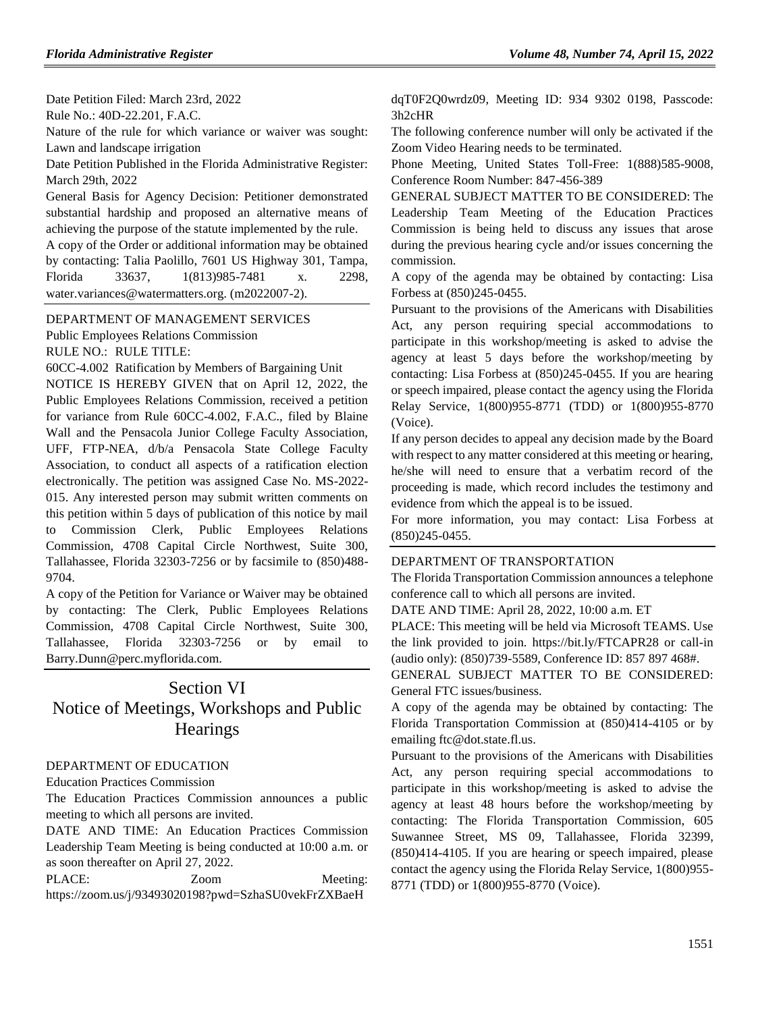Date Petition Filed: March 23rd, 2022 Rule No.: 40D-22.201, F.A.C.

Nature of the rule for which variance or waiver was sought: Lawn and landscape irrigation

Date Petition Published in the Florida Administrative Register: March 29th, 2022

General Basis for Agency Decision: Petitioner demonstrated substantial hardship and proposed an alternative means of achieving the purpose of the statute implemented by the rule.

A copy of the Order or additional information may be obtained by contacting: Talia Paolillo, 7601 US Highway 301, Tampa, Florida 33637, 1(813)985-7481 x. 2298, water.variances@watermatters.org. (m2022007-2).

[DEPARTMENT OF MANAGEMENT SERVICES](https://flrules.org/gateway/department.asp?id=60)

[Public Employees Relations Commission](https://flrules.org/gateway/organization.asp?id=502)

RULE NO.: RULE TITLE:

[60CC-4.002](https://flrules.org/gateway/ruleNo.asp?id=60CC-4.002) Ratification by Members of Bargaining Unit

NOTICE IS HEREBY GIVEN that on April 12, 2022, the Public Employees Relations Commission, received a petition for variance from Rule 60CC-4.002, F.A.C., filed by Blaine Wall and the Pensacola Junior College Faculty Association, UFF, FTP-NEA, d/b/a Pensacola State College Faculty Association, to conduct all aspects of a ratification election electronically. The petition was assigned Case No. MS-2022- 015. Any interested person may submit written comments on this petition within 5 days of publication of this notice by mail to Commission Clerk, Public Employees Relations Commission, 4708 Capital Circle Northwest, Suite 300, Tallahassee, Florida 32303-7256 or by facsimile to (850)488- 9704.

A copy of the Petition for Variance or Waiver may be obtained by contacting: The Clerk, Public Employees Relations Commission, 4708 Capital Circle Northwest, Suite 300, Tallahassee, Florida 32303-7256 or by email to Barry.Dunn@perc.myflorida.com.

# Section VI

# Notice of Meetings, Workshops and Public **Hearings**

#### [DEPARTMENT OF EDUCATION](https://flrules.org/gateway/department.asp?id=6)

[Education Practices Commission](https://flrules.org/gateway/organization.asp?id=196)

The Education Practices Commission announces a public meeting to which all persons are invited.

DATE AND TIME: An Education Practices Commission Leadership Team Meeting is being conducted at 10:00 a.m. or as soon thereafter on April 27, 2022.

PLACE: Zoom Meeting: [https://zoom.us/j/93493020198?pwd=SzhaSU0vekFrZXBaeH](https://zoom.us/j/93493020198?pwd=SzhaSU0vekFrZXBaeHdqT0F2Q0wrdz09)

[dqT0F2Q0wrdz09,](https://zoom.us/j/93493020198?pwd=SzhaSU0vekFrZXBaeHdqT0F2Q0wrdz09) Meeting ID: 934 9302 0198, Passcode: 3h2cHR

The following conference number will only be activated if the Zoom Video Hearing needs to be terminated.

Phone Meeting, United States Toll-Free: 1(888)585-9008, Conference Room Number: 847-456-389

GENERAL SUBJECT MATTER TO BE CONSIDERED: The Leadership Team Meeting of the Education Practices Commission is being held to discuss any issues that arose during the previous hearing cycle and/or issues concerning the commission.

A copy of the agenda may be obtained by contacting: Lisa Forbess at (850)245-0455.

Pursuant to the provisions of the Americans with Disabilities Act, any person requiring special accommodations to participate in this workshop/meeting is asked to advise the agency at least 5 days before the workshop/meeting by contacting: Lisa Forbess at (850)245-0455. If you are hearing or speech impaired, please contact the agency using the Florida Relay Service, 1(800)955-8771 (TDD) or 1(800)955-8770 (Voice).

If any person decides to appeal any decision made by the Board with respect to any matter considered at this meeting or hearing, he/she will need to ensure that a verbatim record of the proceeding is made, which record includes the testimony and evidence from which the appeal is to be issued.

For more information, you may contact: Lisa Forbess at (850)245-0455.

#### [DEPARTMENT OF TRANSPORTATION](https://flrules.org/gateway/department.asp?id=14)

The Florida Transportation Commission announces a telephone conference call to which all persons are invited.

DATE AND TIME: April 28, 2022, 10:00 a.m. ET

PLACE: This meeting will be held via Microsoft TEAMS. Use the link provided to join. https://bit.ly/FTCAPR28 or call-in (audio only): (850)739-5589, Conference ID: 857 897 468#.

GENERAL SUBJECT MATTER TO BE CONSIDERED: General FTC issues/business.

A copy of the agenda may be obtained by contacting: The Florida Transportation Commission at (850)414-4105 or by emailing ftc@dot.state.fl.us.

Pursuant to the provisions of the Americans with Disabilities Act, any person requiring special accommodations to participate in this workshop/meeting is asked to advise the agency at least 48 hours before the workshop/meeting by contacting: The Florida Transportation Commission, 605 Suwannee Street, MS 09, Tallahassee, Florida 32399, (850)414-4105. If you are hearing or speech impaired, please contact the agency using the Florida Relay Service, 1(800)955- 8771 (TDD) or 1(800)955-8770 (Voice).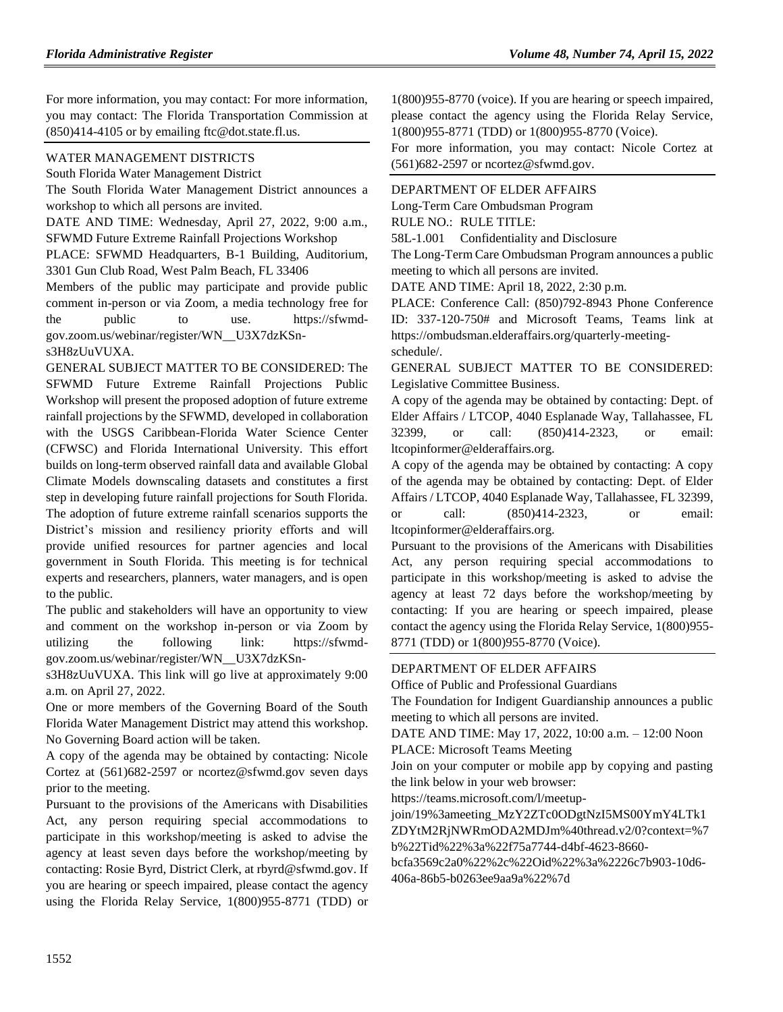For more information, you may contact: For more information, you may contact: The Florida Transportation Commission at  $(850)414-4105$  or by emailing ftc@dot.state.fl.us.

#### [WATER MANAGEMENT DISTRICTS](https://flrules.org/gateway/department.asp?id=40)

[South Florida Water Management District](https://flrules.org/gateway/organization.asp?id=124)

The South Florida Water Management District announces a workshop to which all persons are invited.

DATE AND TIME: Wednesday, April 27, 2022, 9:00 a.m.,

SFWMD Future Extreme Rainfall Projections Workshop PLACE: SFWMD Headquarters, B-1 Building, Auditorium,

3301 Gun Club Road, West Palm Beach, FL 33406

Members of the public may participate and provide public comment in-person or via Zoom, a media technology free for the public to use. https://sfwmdgov.zoom.us/webinar/register/WN\_\_U3X7dzKSns3H8zUuVUXA.

GENERAL SUBJECT MATTER TO BE CONSIDERED: The SFWMD Future Extreme Rainfall Projections Public Workshop will present the proposed adoption of future extreme rainfall projections by the SFWMD, developed in collaboration with the USGS Caribbean-Florida Water Science Center (CFWSC) and Florida International University. This effort builds on long-term observed rainfall data and available Global Climate Models downscaling datasets and constitutes a first step in developing future rainfall projections for South Florida. The adoption of future extreme rainfall scenarios supports the District's mission and resiliency priority efforts and will provide unified resources for partner agencies and local government in South Florida. This meeting is for technical experts and researchers, planners, water managers, and is open to the public.

The public and stakeholders will have an opportunity to view and comment on the workshop in-person or via Zoom by utilizing the following link: https://sfwmdgov.zoom.us/webinar/register/WN\_\_U3X7dzKSn-

s3H8zUuVUXA. This link will go live at approximately 9:00 a.m. on April 27, 2022.

One or more members of the Governing Board of the South Florida Water Management District may attend this workshop. No Governing Board action will be taken.

A copy of the agenda may be obtained by contacting: Nicole Cortez at (561)682-2597 or ncortez@sfwmd.gov seven days prior to the meeting.

Pursuant to the provisions of the Americans with Disabilities Act, any person requiring special accommodations to participate in this workshop/meeting is asked to advise the agency at least seven days before the workshop/meeting by contacting: Rosie Byrd, District Clerk, at rbyrd@sfwmd.gov. If you are hearing or speech impaired, please contact the agency using the Florida Relay Service, 1(800)955-8771 (TDD) or 1(800)955-8770 (voice). If you are hearing or speech impaired, please contact the agency using the Florida Relay Service, 1(800)955-8771 (TDD) or 1(800)955-8770 (Voice).

For more information, you may contact: Nicole Cortez at (561)682-2597 or ncortez@sfwmd.gov.

# [DEPARTMENT OF ELDER AFFAIRS](https://flrules.org/gateway/department.asp?id=58)

[Long-Term Care Ombudsman Program](https://flrules.org/gateway/organization.asp?id=184)

RULE NO.: RULE TITLE:

[58L-1.001](https://flrules.org/gateway/ruleNo.asp?id=58L-1.001) Confidentiality and Disclosure

The Long-Term Care Ombudsman Program announces a public meeting to which all persons are invited.

DATE AND TIME: April 18, 2022, 2:30 p.m.

PLACE: Conference Call: (850)792-8943 Phone Conference ID: 337-120-750# and Microsoft Teams, Teams link at https://ombudsman.elderaffairs.org/quarterly-meetingschedule/.

GENERAL SUBJECT MATTER TO BE CONSIDERED: Legislative Committee Business.

A copy of the agenda may be obtained by contacting: Dept. of Elder Affairs / LTCOP, 4040 Esplanade Way, Tallahassee, FL 32399, or call: (850)414-2323, or email: ltcopinformer@elderaffairs.org.

A copy of the agenda may be obtained by contacting: A copy of the agenda may be obtained by contacting: Dept. of Elder Affairs / LTCOP, 4040 Esplanade Way, Tallahassee, FL 32399, or call: (850)414-2323, or email: ltcopinformer@elderaffairs.org.

Pursuant to the provisions of the Americans with Disabilities Act, any person requiring special accommodations to participate in this workshop/meeting is asked to advise the agency at least 72 days before the workshop/meeting by contacting: If you are hearing or speech impaired, please contact the agency using the Florida Relay Service, 1(800)955- 8771 (TDD) or 1(800)955-8770 (Voice).

#### [DEPARTMENT OF ELDER AFFAIRS](https://flrules.org/gateway/department.asp?id=58)

[Office of Public and Professional Guardians](https://flrules.org/gateway/organization.asp?id=185)

The Foundation for Indigent Guardianship announces a public meeting to which all persons are invited.

DATE AND TIME: May 17, 2022, 10:00 a.m. – 12:00 Noon

PLACE: Microsoft Teams Meeting

Join on your computer or mobile app by copying and pasting the link below in your web browser:

https://teams.microsoft.com/l/meetup-

join/19%3ameeting\_MzY2ZTc0ODgtNzI5MS00YmY4LTk1

ZDYtM2RjNWRmODA2MDJm%40thread.v2/0?context=%7 b%22Tid%22%3a%22f75a7744-d4bf-4623-8660-

bcfa3569c2a0%22%2c%22Oid%22%3a%2226c7b903-10d6- 406a-86b5-b0263ee9aa9a%22%7d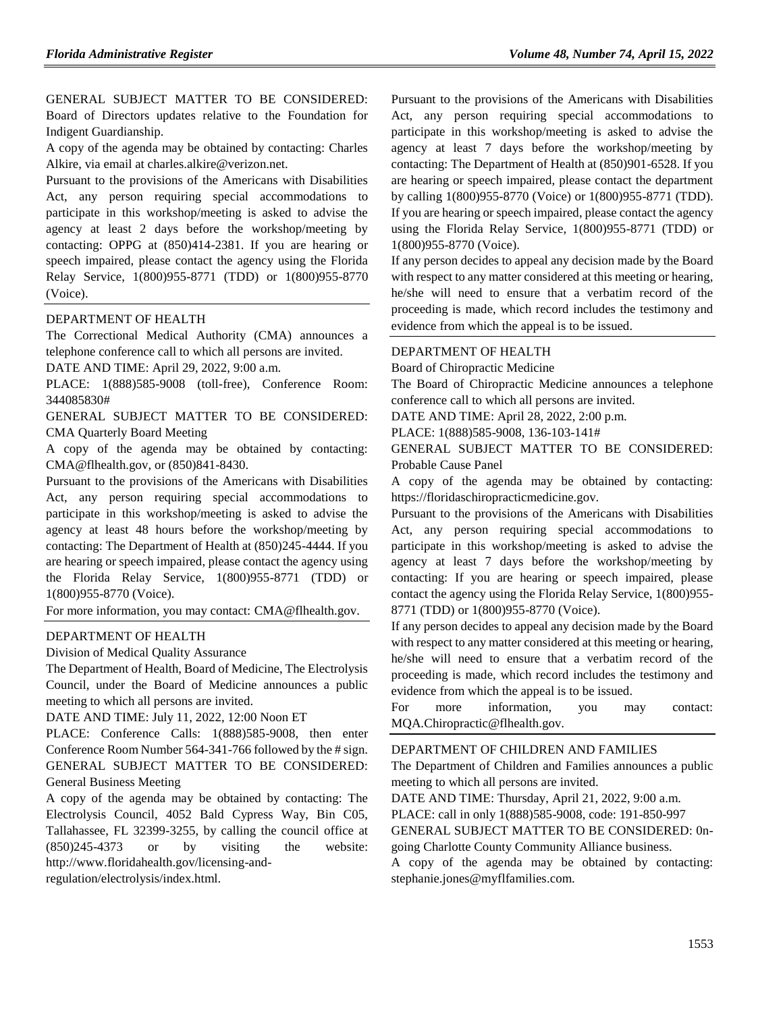GENERAL SUBJECT MATTER TO BE CONSIDERED: Board of Directors updates relative to the Foundation for Indigent Guardianship.

A copy of the agenda may be obtained by contacting: Charles Alkire, via email at charles.alkire@verizon.net.

Pursuant to the provisions of the Americans with Disabilities Act, any person requiring special accommodations to participate in this workshop/meeting is asked to advise the agency at least 2 days before the workshop/meeting by contacting: OPPG at (850)414-2381. If you are hearing or speech impaired, please contact the agency using the Florida Relay Service, 1(800)955-8771 (TDD) or 1(800)955-8770 (Voice).

#### [DEPARTMENT OF HEALTH](https://flrules.org/gateway/department.asp?id=64)

The Correctional Medical Authority (CMA) announces a telephone conference call to which all persons are invited.

DATE AND TIME: April 29, 2022, 9:00 a.m.

PLACE: 1(888)585-9008 (toll-free), Conference Room: 344085830#

GENERAL SUBJECT MATTER TO BE CONSIDERED: CMA Quarterly Board Meeting

A copy of the agenda may be obtained by contacting: CMA@flhealth.gov, or (850)841-8430.

Pursuant to the provisions of the Americans with Disabilities Act, any person requiring special accommodations to participate in this workshop/meeting is asked to advise the agency at least 48 hours before the workshop/meeting by contacting: The Department of Health at (850)245-4444. If you are hearing or speech impaired, please contact the agency using the Florida Relay Service, 1(800)955-8771 (TDD) or 1(800)955-8770 (Voice).

For more information, you may contact: CMA@flhealth.gov.

#### [DEPARTMENT OF HEALTH](https://flrules.org/gateway/department.asp?id=64)

[Division of Medical Quality Assurance](https://flrules.org/gateway/organization.asp?id=299)

The Department of Health, Board of Medicine, The Electrolysis Council, under the Board of Medicine announces a public meeting to which all persons are invited.

DATE AND TIME: July 11, 2022, 12:00 Noon ET

PLACE: Conference Calls: 1(888)585-9008, then enter Conference Room Number 564-341-766 followed by the # sign. GENERAL SUBJECT MATTER TO BE CONSIDERED: General Business Meeting

A copy of the agenda may be obtained by contacting: The Electrolysis Council, 4052 Bald Cypress Way, Bin C05, Tallahassee, FL 32399-3255, by calling the council office at (850)245-4373 or by visiting the website: http://www.floridahealth.gov/licensing-andregulation/electrolysis/index.html.

Pursuant to the provisions of the Americans with Disabilities Act, any person requiring special accommodations to participate in this workshop/meeting is asked to advise the agency at least 7 days before the workshop/meeting by contacting: The Department of Health at (850)901-6528. If you are hearing or speech impaired, please contact the department by calling 1(800)955-8770 (Voice) or 1(800)955-8771 (TDD). If you are hearing or speech impaired, please contact the agency using the Florida Relay Service, 1(800)955-8771 (TDD) or 1(800)955-8770 (Voice).

If any person decides to appeal any decision made by the Board with respect to any matter considered at this meeting or hearing, he/she will need to ensure that a verbatim record of the proceeding is made, which record includes the testimony and evidence from which the appeal is to be issued.

#### [DEPARTMENT OF HEALTH](https://flrules.org/gateway/department.asp?id=64)

[Board of Chiropractic Medicine](https://flrules.org/gateway/organization.asp?id=311)

The Board of Chiropractic Medicine announces a telephone conference call to which all persons are invited.

DATE AND TIME: April 28, 2022, 2:00 p.m.

PLACE: 1(888)585-9008, 136-103-141#

GENERAL SUBJECT MATTER TO BE CONSIDERED: Probable Cause Panel

A copy of the agenda may be obtained by contacting: https://floridaschiropracticmedicine.gov.

Pursuant to the provisions of the Americans with Disabilities Act, any person requiring special accommodations to participate in this workshop/meeting is asked to advise the agency at least 7 days before the workshop/meeting by contacting: If you are hearing or speech impaired, please contact the agency using the Florida Relay Service, 1(800)955- 8771 (TDD) or 1(800)955-8770 (Voice).

If any person decides to appeal any decision made by the Board with respect to any matter considered at this meeting or hearing, he/she will need to ensure that a verbatim record of the proceeding is made, which record includes the testimony and evidence from which the appeal is to be issued.

For more information, you may contact: MQA.Chiropractic@flhealth.gov.

#### [DEPARTMENT OF CHILDREN AND FAMILIES](https://flrules.org/gateway/department.asp?id=65)

The Department of Children and Families announces a public meeting to which all persons are invited.

DATE AND TIME: Thursday, April 21, 2022, 9:00 a.m.

PLACE: call in only 1(888)585-9008, code: 191-850-997

GENERAL SUBJECT MATTER TO BE CONSIDERED: 0ngoing Charlotte County Community Alliance business.

A copy of the agenda may be obtained by contacting: stephanie.jones@myflfamilies.com.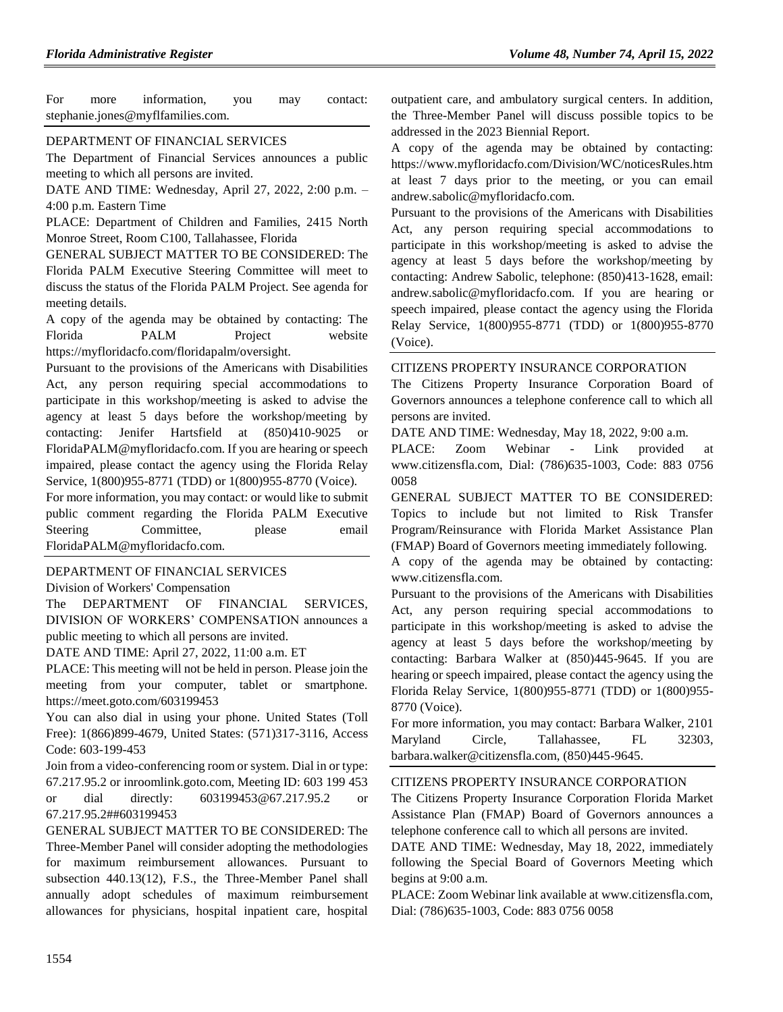For more information, you may contact: stephanie.jones@myflfamilies.com.

#### [DEPARTMENT OF FINANCIAL SERVICES](https://flrules.org/gateway/department.asp?id=69)

The Department of Financial Services announces a public meeting to which all persons are invited.

DATE AND TIME: Wednesday, April 27, 2022, 2:00 p.m. – 4:00 p.m. Eastern Time

PLACE: Department of Children and Families, 2415 North Monroe Street, Room C100, Tallahassee, Florida

GENERAL SUBJECT MATTER TO BE CONSIDERED: The Florida PALM Executive Steering Committee will meet to discuss the status of the Florida PALM Project. See agenda for meeting details.

A copy of the agenda may be obtained by contacting: The Florida PALM Project website https://myfloridacfo.com/floridapalm/oversight.

Pursuant to the provisions of the Americans with Disabilities Act, any person requiring special accommodations to participate in this workshop/meeting is asked to advise the agency at least 5 days before the workshop/meeting by contacting: Jenifer Hartsfield at (850)410-9025 or FloridaPALM@myfloridacfo.com. If you are hearing or speech impaired, please contact the agency using the Florida Relay Service, 1(800)955-8771 (TDD) or 1(800)955-8770 (Voice).

For more information, you may contact: or would like to submit public comment regarding the Florida PALM Executive Steering Committee, please email FloridaPALM@myfloridacfo.com.

#### [DEPARTMENT OF FINANCIAL SERVICES](https://flrules.org/gateway/department.asp?id=69)

[Division of Workers' Compensation](https://flrules.org/gateway/organization.asp?id=370)

The DEPARTMENT OF FINANCIAL SERVICES, DIVISION OF WORKERS' COMPENSATION announces a public meeting to which all persons are invited.

DATE AND TIME: April 27, 2022, 11:00 a.m. ET

PLACE: This meeting will not be held in person. Please join the meeting from your computer, tablet or smartphone. https://meet.goto.com/603199453

You can also dial in using your phone. United States (Toll Free): 1(866)899-4679, United States: (571)317-3116, Access Code: 603-199-453

Join from a video-conferencing room or system. Dial in or type: 67.217.95.2 or inroomlink.goto.com, Meeting ID: 603 199 453 or dial directly: 603199453@67.217.95.2 or 67.217.95.2##603199453

GENERAL SUBJECT MATTER TO BE CONSIDERED: The Three-Member Panel will consider adopting the methodologies for maximum reimbursement allowances. Pursuant to subsection 440.13(12), F.S., the Three-Member Panel shall annually adopt schedules of maximum reimbursement allowances for physicians, hospital inpatient care, hospital

outpatient care, and ambulatory surgical centers. In addition, the Three-Member Panel will discuss possible topics to be addressed in the 2023 Biennial Report.

A copy of the agenda may be obtained by contacting: https://www.myfloridacfo.com/Division/WC/noticesRules.htm at least 7 days prior to the meeting, or you can email andrew.sabolic@myfloridacfo.com.

Pursuant to the provisions of the Americans with Disabilities Act, any person requiring special accommodations to participate in this workshop/meeting is asked to advise the agency at least 5 days before the workshop/meeting by contacting: Andrew Sabolic, telephone: (850)413-1628, email: andrew.sabolic@myfloridacfo.com. If you are hearing or speech impaired, please contact the agency using the Florida Relay Service, 1(800)955-8771 (TDD) or 1(800)955-8770 (Voice).

#### [CITIZENS PROPERTY INSURANCE CORPORATION](https://flrules.org/gateway/organization.asp?id=591)

The Citizens Property Insurance Corporation Board of Governors announces a telephone conference call to which all persons are invited.

DATE AND TIME: Wednesday, May 18, 2022, 9:00 a.m.

PLACE: Zoom Webinar - Link provided at www.citizensfla.com, Dial: (786)635-1003, Code: 883 0756 0058

GENERAL SUBJECT MATTER TO BE CONSIDERED: Topics to include but not limited to Risk Transfer Program/Reinsurance with Florida Market Assistance Plan (FMAP) Board of Governors meeting immediately following.

A copy of the agenda may be obtained by contacting: www.citizensfla.com.

Pursuant to the provisions of the Americans with Disabilities Act, any person requiring special accommodations to participate in this workshop/meeting is asked to advise the agency at least 5 days before the workshop/meeting by contacting: Barbara Walker at (850)445-9645. If you are hearing or speech impaired, please contact the agency using the Florida Relay Service, 1(800)955-8771 (TDD) or 1(800)955- 8770 (Voice).

For more information, you may contact: Barbara Walker, 2101 Maryland Circle, Tallahassee, FL 32303, barbara.walker@citizensfla.com, (850)445-9645.

#### [CITIZENS PROPERTY INSURANCE CORPORATION](https://flrules.org/gateway/organization.asp?id=591)

The Citizens Property Insurance Corporation Florida Market Assistance Plan (FMAP) Board of Governors announces a telephone conference call to which all persons are invited.

DATE AND TIME: Wednesday, May 18, 2022, immediately following the Special Board of Governors Meeting which begins at 9:00 a.m.

PLACE: Zoom Webinar link available at www.citizensfla.com, Dial: (786)635-1003, Code: 883 0756 0058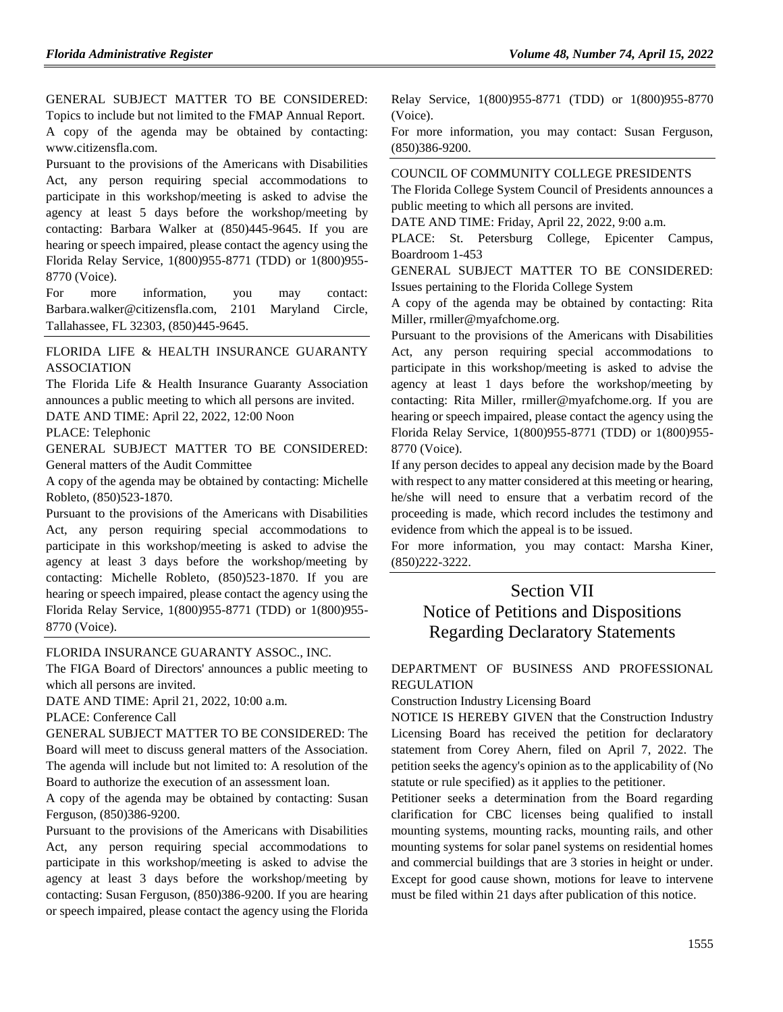GENERAL SUBJECT MATTER TO BE CONSIDERED: Topics to include but not limited to the FMAP Annual Report. A copy of the agenda may be obtained by contacting: www.citizensfla.com.

Pursuant to the provisions of the Americans with Disabilities Act, any person requiring special accommodations to participate in this workshop/meeting is asked to advise the agency at least 5 days before the workshop/meeting by contacting: Barbara Walker at (850)445-9645. If you are hearing or speech impaired, please contact the agency using the Florida Relay Service, 1(800)955-8771 (TDD) or 1(800)955- 8770 (Voice).

For more information, you may contact: Barbara.walker@citizensfla.com, 2101 Maryland Circle, Tallahassee, FL 32303, (850)445-9645.

#### [FLORIDA LIFE & HEALTH INSURANCE GUARANTY](https://flrules.org/gateway/organization.asp?id=1391)  [ASSOCIATION](https://flrules.org/gateway/organization.asp?id=1391)

The Florida Life & Health Insurance Guaranty Association announces a public meeting to which all persons are invited. DATE AND TIME: April 22, 2022, 12:00 Noon

PLACE: Telephonic

GENERAL SUBJECT MATTER TO BE CONSIDERED: General matters of the Audit Committee

A copy of the agenda may be obtained by contacting: Michelle Robleto, (850)523-1870.

Pursuant to the provisions of the Americans with Disabilities Act, any person requiring special accommodations to participate in this workshop/meeting is asked to advise the agency at least 3 days before the workshop/meeting by contacting: Michelle Robleto, (850)523-1870. If you are hearing or speech impaired, please contact the agency using the Florida Relay Service, 1(800)955-8771 (TDD) or 1(800)955- 8770 (Voice).

[FLORIDA INSURANCE GUARANTY ASSOC., INC.](https://flrules.org/gateway/organization.asp?id=686)

The FIGA Board of Directors' announces a public meeting to which all persons are invited.

DATE AND TIME: April 21, 2022, 10:00 a.m.

PLACE: Conference Call

GENERAL SUBJECT MATTER TO BE CONSIDERED: The Board will meet to discuss general matters of the Association. The agenda will include but not limited to: A resolution of the Board to authorize the execution of an assessment loan.

A copy of the agenda may be obtained by contacting: Susan Ferguson, (850)386-9200.

Pursuant to the provisions of the Americans with Disabilities Act, any person requiring special accommodations to participate in this workshop/meeting is asked to advise the agency at least 3 days before the workshop/meeting by contacting: Susan Ferguson, (850)386-9200. If you are hearing or speech impaired, please contact the agency using the Florida Relay Service, 1(800)955-8771 (TDD) or 1(800)955-8770 (Voice).

For more information, you may contact: Susan Ferguson, (850)386-9200.

#### [COUNCIL OF COMMUNITY COLLEGE PRESIDENTS](https://flrules.org/gateway/organization.asp?id=740)

The Florida College System Council of Presidents announces a public meeting to which all persons are invited.

DATE AND TIME: Friday, April 22, 2022, 9:00 a.m.

PLACE: St. Petersburg College, Epicenter Campus, Boardroom 1-453

GENERAL SUBJECT MATTER TO BE CONSIDERED: Issues pertaining to the Florida College System

A copy of the agenda may be obtained by contacting: Rita Miller, rmiller@myafchome.org.

Pursuant to the provisions of the Americans with Disabilities Act, any person requiring special accommodations to participate in this workshop/meeting is asked to advise the agency at least 1 days before the workshop/meeting by contacting: Rita Miller, rmiller@myafchome.org. If you are hearing or speech impaired, please contact the agency using the Florida Relay Service, 1(800)955-8771 (TDD) or 1(800)955- 8770 (Voice).

If any person decides to appeal any decision made by the Board with respect to any matter considered at this meeting or hearing, he/she will need to ensure that a verbatim record of the proceeding is made, which record includes the testimony and evidence from which the appeal is to be issued.

For more information, you may contact: Marsha Kiner, (850)222-3222.

# Section VII Notice of Petitions and Dispositions Regarding Declaratory Statements

#### [DEPARTMENT OF BUSINESS AND PROFESSIONAL](https://flrules.org/gateway/department.asp?id=61)  [REGULATION](https://flrules.org/gateway/department.asp?id=61)

[Construction Industry Licensing Board](https://flrules.org/gateway/organization.asp?id=274)

NOTICE IS HEREBY GIVEN that the Construction Industry Licensing Board has received the petition for declaratory statement from Corey Ahern, filed on April 7, 2022. The petition seeks the agency's opinion as to the applicability of (No statute or rule specified) as it applies to the petitioner.

Petitioner seeks a determination from the Board regarding clarification for CBC licenses being qualified to install mounting systems, mounting racks, mounting rails, and other mounting systems for solar panel systems on residential homes and commercial buildings that are 3 stories in height or under. Except for good cause shown, motions for leave to intervene must be filed within 21 days after publication of this notice.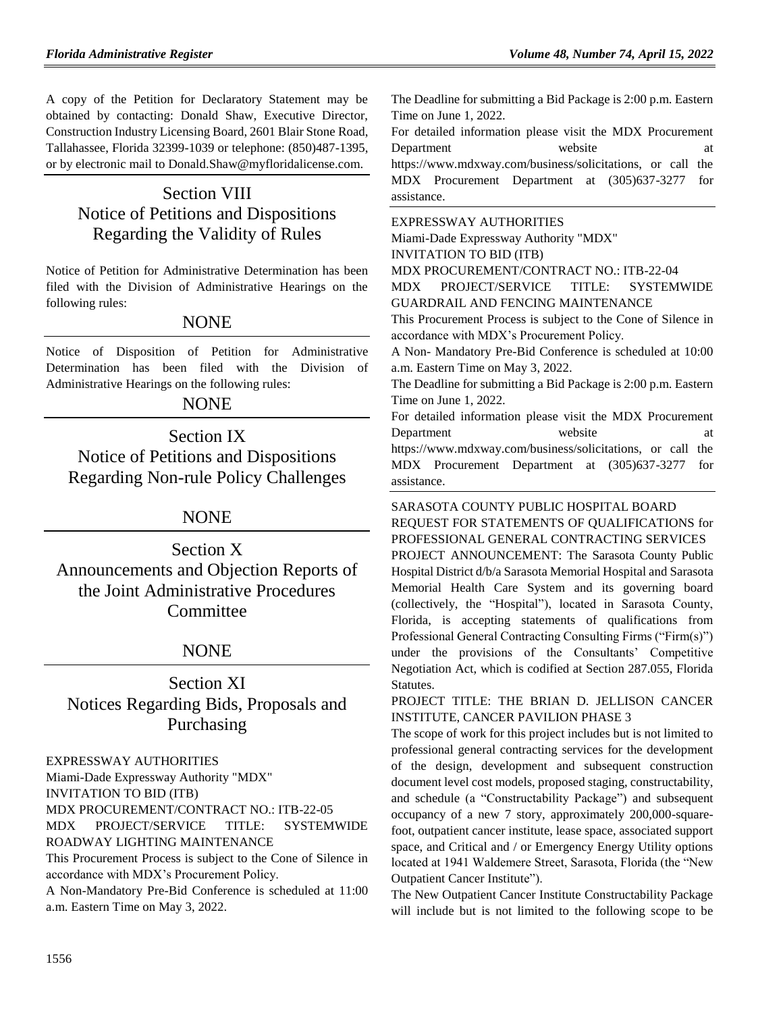A copy of the Petition for Declaratory Statement may be obtained by contacting: Donald Shaw, Executive Director, Construction Industry Licensing Board, 2601 Blair Stone Road, Tallahassee, Florida 32399-1039 or telephone: (850)487-1395, or by electronic mail to Donald.Shaw@myfloridalicense.com.

# Section VIII Notice of Petitions and Dispositions Regarding the Validity of Rules

Notice of Petition for Administrative Determination has been filed with the Division of Administrative Hearings on the following rules:

# NONE

Notice of Disposition of Petition for Administrative Determination has been filed with the Division of Administrative Hearings on the following rules:

# **NONE**

Section IX Notice of Petitions and Dispositions Regarding Non-rule Policy Challenges

# NONE

Section X Announcements and Objection Reports of the Joint Administrative Procedures **Committee** 

# NONE

Section XI Notices Regarding Bids, Proposals and Purchasing

#### [EXPRESSWAY AUTHORITIES](https://flrules.org/gateway/department.asp?id=45)

[Miami-Dade Expressway Authority "MDX"](https://flrules.org/gateway/organization.asp?id=720) INVITATION TO BID (ITB) MDX PROCUREMENT/CONTRACT NO.: ITB-22-05 MDX PROJECT/SERVICE TITLE: SYSTEMWIDE ROADWAY LIGHTING MAINTENANCE This Procurement Process is subject to the Cone of Silence in

accordance with MDX's Procurement Policy.

A Non-Mandatory Pre-Bid Conference is scheduled at 11:00 a.m. Eastern Time on May 3, 2022.

The Deadline for submitting a Bid Package is 2:00 p.m. Eastern Time on June 1, 2022.

For detailed information please visit the MDX Procurement Department website at https://www.mdxway.com/business/solicitations, or call the MDX Procurement Department at (305)637-3277 for assistance.

#### [EXPRESSWAY AUTHORITIES](https://flrules.org/gateway/department.asp?id=45)

[Miami-Dade Expressway Authority "MDX"](https://flrules.org/gateway/organization.asp?id=720)

INVITATION TO BID (ITB)

MDX PROCUREMENT/CONTRACT NO.: ITB-22-04

MDX PROJECT/SERVICE TITLE: SYSTEMWIDE GUARDRAIL AND FENCING MAINTENANCE

This Procurement Process is subject to the Cone of Silence in accordance with MDX's Procurement Policy.

A Non- Mandatory Pre-Bid Conference is scheduled at 10:00 a.m. Eastern Time on May 3, 2022.

The Deadline for submitting a Bid Package is 2:00 p.m. Eastern Time on June 1, 2022.

For detailed information please visit the MDX Procurement Department website at https://www.mdxway.com/business/solicitations, or call the MDX Procurement Department at (305)637-3277 for assistance.

[SARASOTA COUNTY PUBLIC HOSPITAL BOARD](https://flrules.org/gateway/organization.asp?id=1112) REQUEST FOR STATEMENTS OF QUALIFICATIONS for PROFESSIONAL GENERAL CONTRACTING SERVICES

PROJECT ANNOUNCEMENT: The Sarasota County Public Hospital District d/b/a Sarasota Memorial Hospital and Sarasota Memorial Health Care System and its governing board (collectively, the "Hospital"), located in Sarasota County, Florida, is accepting statements of qualifications from Professional General Contracting Consulting Firms ("Firm(s)") under the provisions of the Consultants' Competitive Negotiation Act, which is codified at Section 287.055, Florida Statutes.

PROJECT TITLE: THE BRIAN D. JELLISON CANCER INSTITUTE, CANCER PAVILION PHASE 3

The scope of work for this project includes but is not limited to professional general contracting services for the development of the design, development and subsequent construction document level cost models, proposed staging, constructability, and schedule (a "Constructability Package") and subsequent occupancy of a new 7 story, approximately 200,000-squarefoot, outpatient cancer institute, lease space, associated support space, and Critical and / or Emergency Energy Utility options located at 1941 Waldemere Street, Sarasota, Florida (the "New Outpatient Cancer Institute").

The New Outpatient Cancer Institute Constructability Package will include but is not limited to the following scope to be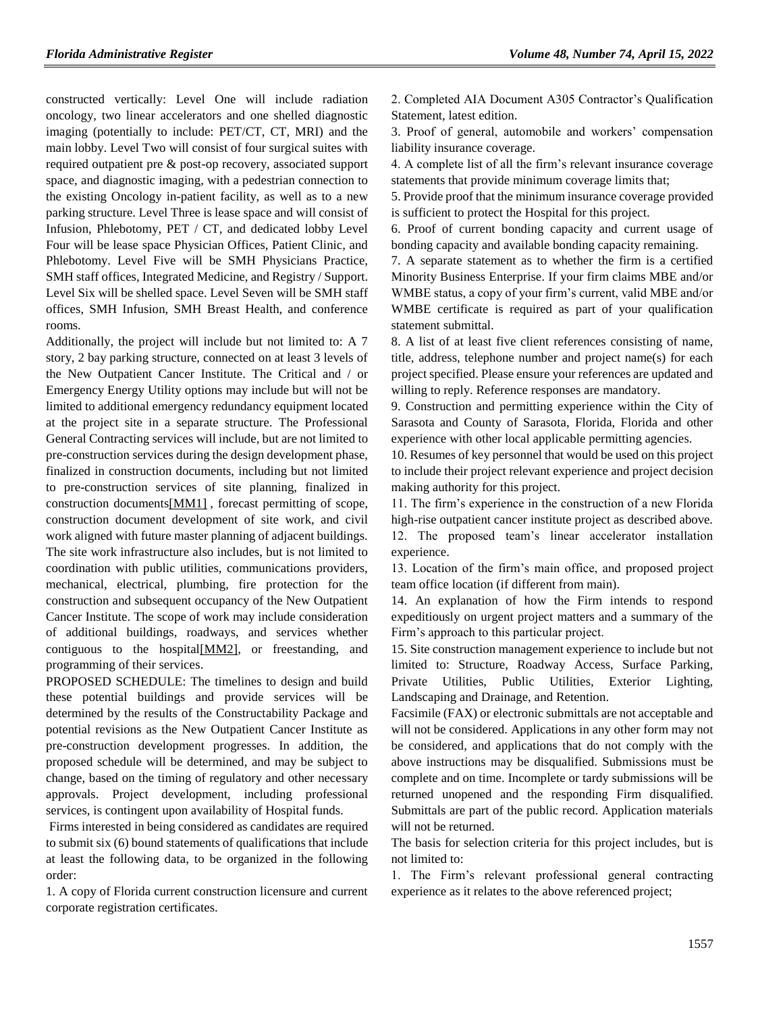constructed vertically: Level One will include radiation oncology, two linear accelerators and one shelled diagnostic imaging (potentially to include: PET/CT, CT, MRI) and the main lobby. Level Two will consist of four surgical suites with required outpatient pre & post-op recovery, associated support space, and diagnostic imaging, with a pedestrian connection to the existing Oncology in-patient facility, as well as to a new parking structure. Level Three is lease space and will consist of Infusion, Phlebotomy, PET / CT, and dedicated lobby Level Four will be lease space Physician Offices, Patient Clinic, and Phlebotomy. Level Five will be SMH Physicians Practice, SMH staff offices, Integrated Medicine, and Registry / Support. Level Six will be shelled space. Level Seven will be SMH staff offices, SMH Infusion, SMH Breast Health, and conference rooms.

Additionally, the project will include but not limited to: A 7 story, 2 bay parking structure, connected on at least 3 levels of the New Outpatient Cancer Institute. The Critical and / or Emergency Energy Utility options may include but will not be limited to additional emergency redundancy equipment located at the project site in a separate structure. The Professional General Contracting services will include, but are not limited to pre-construction services during the design development phase, finalized in construction documents, including but not limited to pre-construction services of site planning, finalized in construction document[s\[MM1\]](file:///C:/Users/whitehek/Desktop/RFQ-ONC-P3-GC-CD-scope.docx) , forecast permitting of scope, construction document development of site work, and civil work aligned with future master planning of adjacent buildings. The site work infrastructure also includes, but is not limited to coordination with public utilities, communications providers, mechanical, electrical, plumbing, fire protection for the construction and subsequent occupancy of the New Outpatient Cancer Institute. The scope of work may include consideration of additional buildings, roadways, and services whether contiguous to the hospita[l\[MM2\],](file:///C:/Users/whitehek/Desktop/RFQ-ONC-P3-GC-CD-scope.docx) or freestanding, and programming of their services.

PROPOSED SCHEDULE: The timelines to design and build these potential buildings and provide services will be determined by the results of the Constructability Package and potential revisions as the New Outpatient Cancer Institute as pre-construction development progresses. In addition, the proposed schedule will be determined, and may be subject to change, based on the timing of regulatory and other necessary approvals. Project development, including professional services, is contingent upon availability of Hospital funds.

Firms interested in being considered as candidates are required to submit six (6) bound statements of qualifications that include at least the following data, to be organized in the following order:

1. A copy of Florida current construction licensure and current corporate registration certificates.

2. Completed AIA Document A305 Contractor's Qualification Statement, latest edition.

3. Proof of general, automobile and workers' compensation liability insurance coverage.

4. A complete list of all the firm's relevant insurance coverage statements that provide minimum coverage limits that;

5. Provide proof that the minimum insurance coverage provided is sufficient to protect the Hospital for this project.

6. Proof of current bonding capacity and current usage of bonding capacity and available bonding capacity remaining.

7. A separate statement as to whether the firm is a certified Minority Business Enterprise. If your firm claims MBE and/or WMBE status, a copy of your firm's current, valid MBE and/or WMBE certificate is required as part of your qualification statement submittal.

8. A list of at least five client references consisting of name, title, address, telephone number and project name(s) for each project specified. Please ensure your references are updated and willing to reply. Reference responses are mandatory.

9. Construction and permitting experience within the City of Sarasota and County of Sarasota, Florida, Florida and other experience with other local applicable permitting agencies.

10. Resumes of key personnel that would be used on this project to include their project relevant experience and project decision making authority for this project.

11. The firm's experience in the construction of a new Florida high-rise outpatient cancer institute project as described above. 12. The proposed team's linear accelerator installation experience.

13. Location of the firm's main office, and proposed project team office location (if different from main).

14. An explanation of how the Firm intends to respond expeditiously on urgent project matters and a summary of the Firm's approach to this particular project.

15. Site construction management experience to include but not limited to: Structure, Roadway Access, Surface Parking, Private Utilities, Public Utilities, Exterior Lighting, Landscaping and Drainage, and Retention.

Facsimile (FAX) or electronic submittals are not acceptable and will not be considered. Applications in any other form may not be considered, and applications that do not comply with the above instructions may be disqualified. Submissions must be complete and on time. Incomplete or tardy submissions will be returned unopened and the responding Firm disqualified. Submittals are part of the public record. Application materials will not be returned.

The basis for selection criteria for this project includes, but is not limited to:

1. The Firm's relevant professional general contracting experience as it relates to the above referenced project;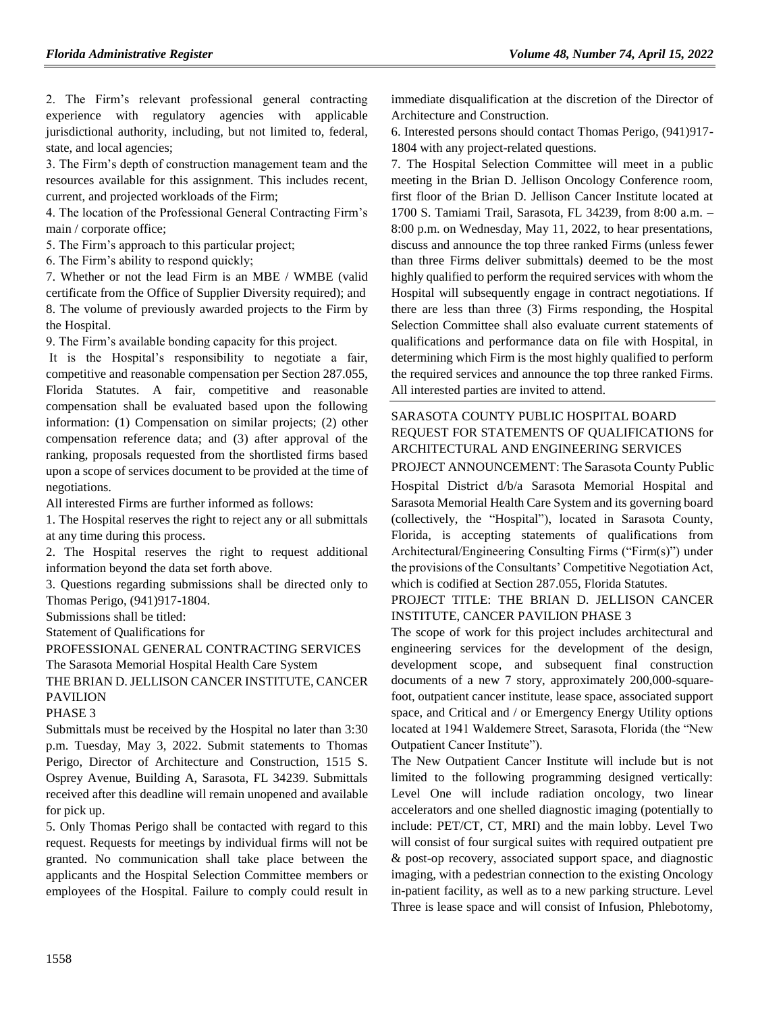2. The Firm's relevant professional general contracting experience with regulatory agencies with applicable jurisdictional authority, including, but not limited to, federal, state, and local agencies;

3. The Firm's depth of construction management team and the resources available for this assignment. This includes recent, current, and projected workloads of the Firm;

4. The location of the Professional General Contracting Firm's main / corporate office;

5. The Firm's approach to this particular project;

6. The Firm's ability to respond quickly;

7. Whether or not the lead Firm is an MBE / WMBE (valid certificate from the Office of Supplier Diversity required); and 8. The volume of previously awarded projects to the Firm by the Hospital.

9. The Firm's available bonding capacity for this project.

It is the Hospital's responsibility to negotiate a fair, competitive and reasonable compensation per Section 287.055, Florida Statutes. A fair, competitive and reasonable compensation shall be evaluated based upon the following information: (1) Compensation on similar projects; (2) other compensation reference data; and (3) after approval of the ranking, proposals requested from the shortlisted firms based upon a scope of services document to be provided at the time of negotiations.

All interested Firms are further informed as follows:

1. The Hospital reserves the right to reject any or all submittals at any time during this process.

2. The Hospital reserves the right to request additional information beyond the data set forth above.

3. Questions regarding submissions shall be directed only to Thomas Perigo, (941)917-1804.

Submissions shall be titled:

Statement of Qualifications for

PROFESSIONAL GENERAL CONTRACTING SERVICES The Sarasota Memorial Hospital Health Care System THE BRIAN D. JELLISON CANCER INSTITUTE, CANCER PAVILION

#### PHASE 3

Submittals must be received by the Hospital no later than 3:30 p.m. Tuesday, May 3, 2022. Submit statements to Thomas Perigo, Director of Architecture and Construction, 1515 S. Osprey Avenue, Building A, Sarasota, FL 34239. Submittals received after this deadline will remain unopened and available for pick up.

5. Only Thomas Perigo shall be contacted with regard to this request. Requests for meetings by individual firms will not be granted. No communication shall take place between the applicants and the Hospital Selection Committee members or employees of the Hospital. Failure to comply could result in immediate disqualification at the discretion of the Director of Architecture and Construction.

6. Interested persons should contact Thomas Perigo, (941)917- 1804 with any project-related questions.

7. The Hospital Selection Committee will meet in a public meeting in the Brian D. Jellison Oncology Conference room, first floor of the Brian D. Jellison Cancer Institute located at 1700 S. Tamiami Trail, Sarasota, FL 34239, from 8:00 a.m. – 8:00 p.m. on Wednesday, May 11, 2022, to hear presentations, discuss and announce the top three ranked Firms (unless fewer than three Firms deliver submittals) deemed to be the most highly qualified to perform the required services with whom the Hospital will subsequently engage in contract negotiations. If there are less than three (3) Firms responding, the Hospital Selection Committee shall also evaluate current statements of qualifications and performance data on file with Hospital, in determining which Firm is the most highly qualified to perform the required services and announce the top three ranked Firms. All interested parties are invited to attend.

### [SARASOTA COUNTY PUBLIC HOSPITAL BOARD](https://flrules.org/gateway/organization.asp?id=1112) REQUEST FOR STATEMENTS OF QUALIFICATIONS for ARCHITECTURAL AND ENGINEERING SERVICES

PROJECT ANNOUNCEMENT: The Sarasota County Public Hospital District d/b/a Sarasota Memorial Hospital and Sarasota Memorial Health Care System and its governing board (collectively, the "Hospital"), located in Sarasota County, Florida, is accepting statements of qualifications from Architectural/Engineering Consulting Firms ("Firm(s)") under the provisions of the Consultants' Competitive Negotiation Act, which is codified at Section 287.055, Florida Statutes.

#### PROJECT TITLE: THE BRIAN D. JELLISON CANCER INSTITUTE, CANCER PAVILION PHASE 3

The scope of work for this project includes architectural and engineering services for the development of the design, development scope, and subsequent final construction documents of a new 7 story, approximately 200,000-squarefoot, outpatient cancer institute, lease space, associated support space, and Critical and / or Emergency Energy Utility options located at 1941 Waldemere Street, Sarasota, Florida (the "New Outpatient Cancer Institute").

The New Outpatient Cancer Institute will include but is not limited to the following programming designed vertically: Level One will include radiation oncology, two linear accelerators and one shelled diagnostic imaging (potentially to include: PET/CT, CT, MRI) and the main lobby. Level Two will consist of four surgical suites with required outpatient pre & post-op recovery, associated support space, and diagnostic imaging, with a pedestrian connection to the existing Oncology in-patient facility, as well as to a new parking structure. Level Three is lease space and will consist of Infusion, Phlebotomy,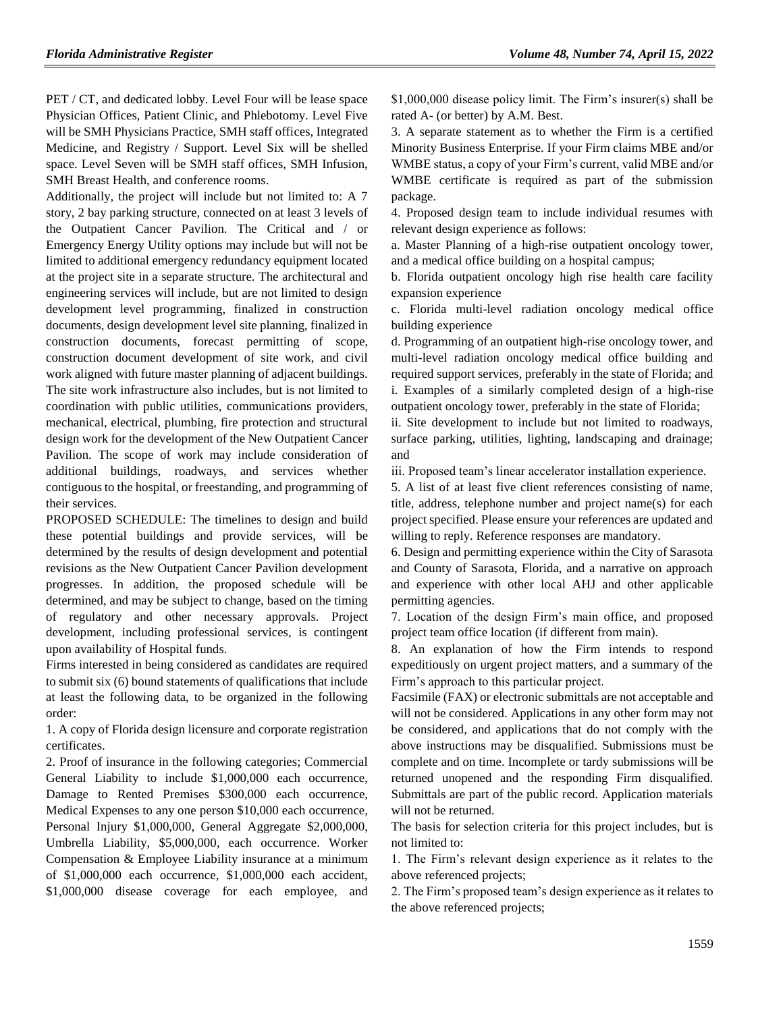PET / CT, and dedicated lobby. Level Four will be lease space Physician Offices, Patient Clinic, and Phlebotomy. Level Five will be SMH Physicians Practice, SMH staff offices, Integrated Medicine, and Registry / Support. Level Six will be shelled space. Level Seven will be SMH staff offices, SMH Infusion, SMH Breast Health, and conference rooms.

Additionally, the project will include but not limited to: A 7 story, 2 bay parking structure, connected on at least 3 levels of the Outpatient Cancer Pavilion. The Critical and / or Emergency Energy Utility options may include but will not be limited to additional emergency redundancy equipment located at the project site in a separate structure. The architectural and engineering services will include, but are not limited to design development level programming, finalized in construction documents, design development level site planning, finalized in construction documents, forecast permitting of scope, construction document development of site work, and civil work aligned with future master planning of adjacent buildings. The site work infrastructure also includes, but is not limited to coordination with public utilities, communications providers, mechanical, electrical, plumbing, fire protection and structural design work for the development of the New Outpatient Cancer Pavilion. The scope of work may include consideration of additional buildings, roadways, and services whether contiguous to the hospital, or freestanding, and programming of their services.

PROPOSED SCHEDULE: The timelines to design and build these potential buildings and provide services, will be determined by the results of design development and potential revisions as the New Outpatient Cancer Pavilion development progresses. In addition, the proposed schedule will be determined, and may be subject to change, based on the timing of regulatory and other necessary approvals. Project development, including professional services, is contingent upon availability of Hospital funds.

Firms interested in being considered as candidates are required to submit six (6) bound statements of qualifications that include at least the following data, to be organized in the following order:

1. A copy of Florida design licensure and corporate registration certificates.

2. Proof of insurance in the following categories; Commercial General Liability to include \$1,000,000 each occurrence, Damage to Rented Premises \$300,000 each occurrence, Medical Expenses to any one person \$10,000 each occurrence, Personal Injury \$1,000,000, General Aggregate \$2,000,000, Umbrella Liability, \$5,000,000, each occurrence. Worker Compensation & Employee Liability insurance at a minimum of \$1,000,000 each occurrence, \$1,000,000 each accident, \$1,000,000 disease coverage for each employee, and

\$1,000,000 disease policy limit. The Firm's insurer(s) shall be rated A- (or better) by A.M. Best.

3. A separate statement as to whether the Firm is a certified Minority Business Enterprise. If your Firm claims MBE and/or WMBE status, a copy of your Firm's current, valid MBE and/or WMBE certificate is required as part of the submission package.

4. Proposed design team to include individual resumes with relevant design experience as follows:

a. Master Planning of a high-rise outpatient oncology tower, and a medical office building on a hospital campus;

b. Florida outpatient oncology high rise health care facility expansion experience

c. Florida multi-level radiation oncology medical office building experience

d. Programming of an outpatient high-rise oncology tower, and multi-level radiation oncology medical office building and required support services, preferably in the state of Florida; and i. Examples of a similarly completed design of a high-rise outpatient oncology tower, preferably in the state of Florida;

ii. Site development to include but not limited to roadways, surface parking, utilities, lighting, landscaping and drainage; and

iii. Proposed team's linear accelerator installation experience.

5. A list of at least five client references consisting of name, title, address, telephone number and project name(s) for each project specified. Please ensure your references are updated and willing to reply. Reference responses are mandatory.

6. Design and permitting experience within the City of Sarasota and County of Sarasota, Florida, and a narrative on approach and experience with other local AHJ and other applicable permitting agencies.

7. Location of the design Firm's main office, and proposed project team office location (if different from main).

8. An explanation of how the Firm intends to respond expeditiously on urgent project matters, and a summary of the Firm's approach to this particular project.

Facsimile (FAX) or electronic submittals are not acceptable and will not be considered. Applications in any other form may not be considered, and applications that do not comply with the above instructions may be disqualified. Submissions must be complete and on time. Incomplete or tardy submissions will be returned unopened and the responding Firm disqualified. Submittals are part of the public record. Application materials will not be returned.

The basis for selection criteria for this project includes, but is not limited to:

1. The Firm's relevant design experience as it relates to the above referenced projects;

2. The Firm's proposed team's design experience as it relates to the above referenced projects;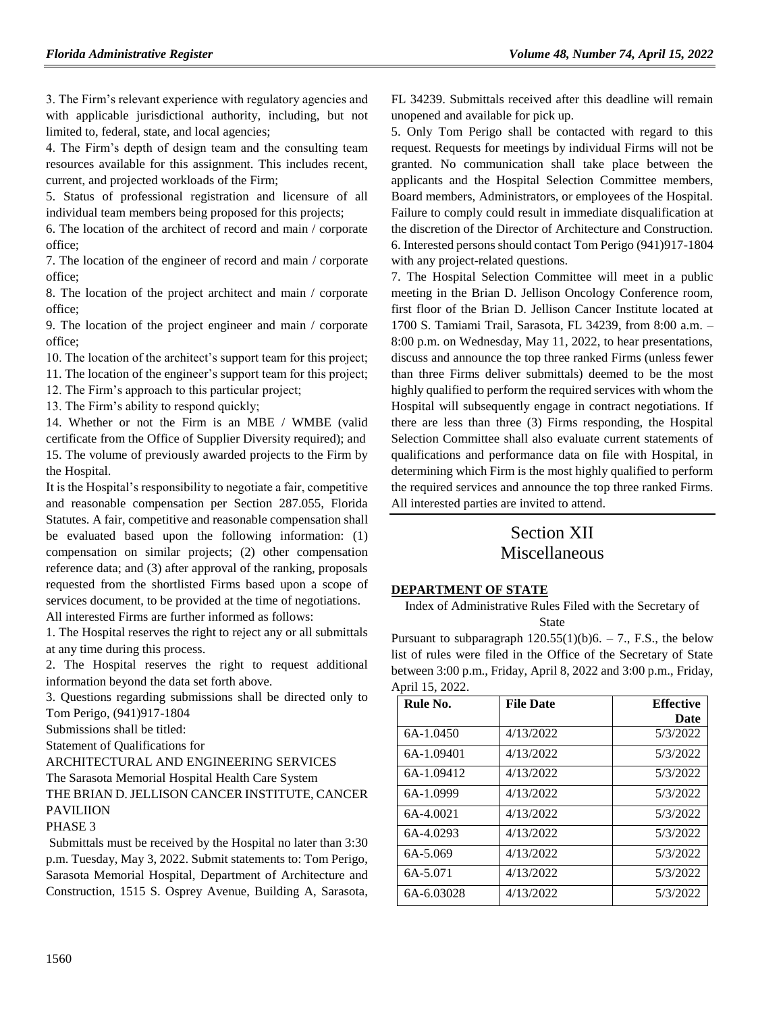3. The Firm's relevant experience with regulatory agencies and with applicable jurisdictional authority, including, but not limited to, federal, state, and local agencies;

4. The Firm's depth of design team and the consulting team resources available for this assignment. This includes recent, current, and projected workloads of the Firm;

5. Status of professional registration and licensure of all individual team members being proposed for this projects;

6. The location of the architect of record and main / corporate office;

7. The location of the engineer of record and main / corporate office;

8. The location of the project architect and main / corporate office;

9. The location of the project engineer and main / corporate office;

10. The location of the architect's support team for this project;

11. The location of the engineer's support team for this project;

12. The Firm's approach to this particular project;

13. The Firm's ability to respond quickly;

14. Whether or not the Firm is an MBE / WMBE (valid certificate from the Office of Supplier Diversity required); and 15. The volume of previously awarded projects to the Firm by the Hospital.

It is the Hospital's responsibility to negotiate a fair, competitive and reasonable compensation per Section 287.055, Florida Statutes. A fair, competitive and reasonable compensation shall be evaluated based upon the following information: (1) compensation on similar projects; (2) other compensation reference data; and (3) after approval of the ranking, proposals requested from the shortlisted Firms based upon a scope of services document, to be provided at the time of negotiations.

All interested Firms are further informed as follows:

1. The Hospital reserves the right to reject any or all submittals at any time during this process.

2. The Hospital reserves the right to request additional information beyond the data set forth above.

3. Questions regarding submissions shall be directed only to Tom Perigo, (941)917-1804

Submissions shall be titled:

Statement of Qualifications for

ARCHITECTURAL AND ENGINEERING SERVICES

The Sarasota Memorial Hospital Health Care System

THE BRIAN D. JELLISON CANCER INSTITUTE, CANCER PAVILIION

#### PHASE 3

Submittals must be received by the Hospital no later than 3:30 p.m. Tuesday, May 3, 2022. Submit statements to: Tom Perigo, Sarasota Memorial Hospital, Department of Architecture and Construction, 1515 S. Osprey Avenue, Building A, Sarasota,

FL 34239. Submittals received after this deadline will remain unopened and available for pick up.

5. Only Tom Perigo shall be contacted with regard to this request. Requests for meetings by individual Firms will not be granted. No communication shall take place between the applicants and the Hospital Selection Committee members, Board members, Administrators, or employees of the Hospital. Failure to comply could result in immediate disqualification at the discretion of the Director of Architecture and Construction. 6. Interested persons should contact Tom Perigo (941)917-1804 with any project-related questions.

7. The Hospital Selection Committee will meet in a public meeting in the Brian D. Jellison Oncology Conference room, first floor of the Brian D. Jellison Cancer Institute located at 1700 S. Tamiami Trail, Sarasota, FL 34239, from 8:00 a.m. – 8:00 p.m. on Wednesday, May 11, 2022, to hear presentations, discuss and announce the top three ranked Firms (unless fewer than three Firms deliver submittals) deemed to be the most highly qualified to perform the required services with whom the Hospital will subsequently engage in contract negotiations. If there are less than three (3) Firms responding, the Hospital Selection Committee shall also evaluate current statements of qualifications and performance data on file with Hospital, in determining which Firm is the most highly qualified to perform the required services and announce the top three ranked Firms. All interested parties are invited to attend.

# Section XII Miscellaneous

#### **[DEPARTMENT OF STATE](https://www.flrules.org/gateway/department.asp?id=1)**

Index of Administrative Rules Filed with the Secretary of **State** 

Pursuant to subparagraph  $120.55(1)(b)6. - 7$ ., F.S., the below list of rules were filed in the Office of the Secretary of State between 3:00 p.m., Friday, April 8, 2022 and 3:00 p.m., Friday, April 15, 2022.

| Rule No.   | <b>File Date</b> | <b>Effective</b> |
|------------|------------------|------------------|
|            |                  | Date             |
| 6A-1.0450  | 4/13/2022        | 5/3/2022         |
| 6A-1.09401 | 4/13/2022        | 5/3/2022         |
| 6A-1.09412 | 4/13/2022        | 5/3/2022         |
| 6A-1.0999  | 4/13/2022        | 5/3/2022         |
| 6A-4.0021  | 4/13/2022        | 5/3/2022         |
| 6A-4.0293  | 4/13/2022        | 5/3/2022         |
| 6A-5.069   | 4/13/2022        | 5/3/2022         |
| 6A-5.071   | 4/13/2022        | 5/3/2022         |
| 6A-6.03028 | 4/13/2022        | 5/3/2022         |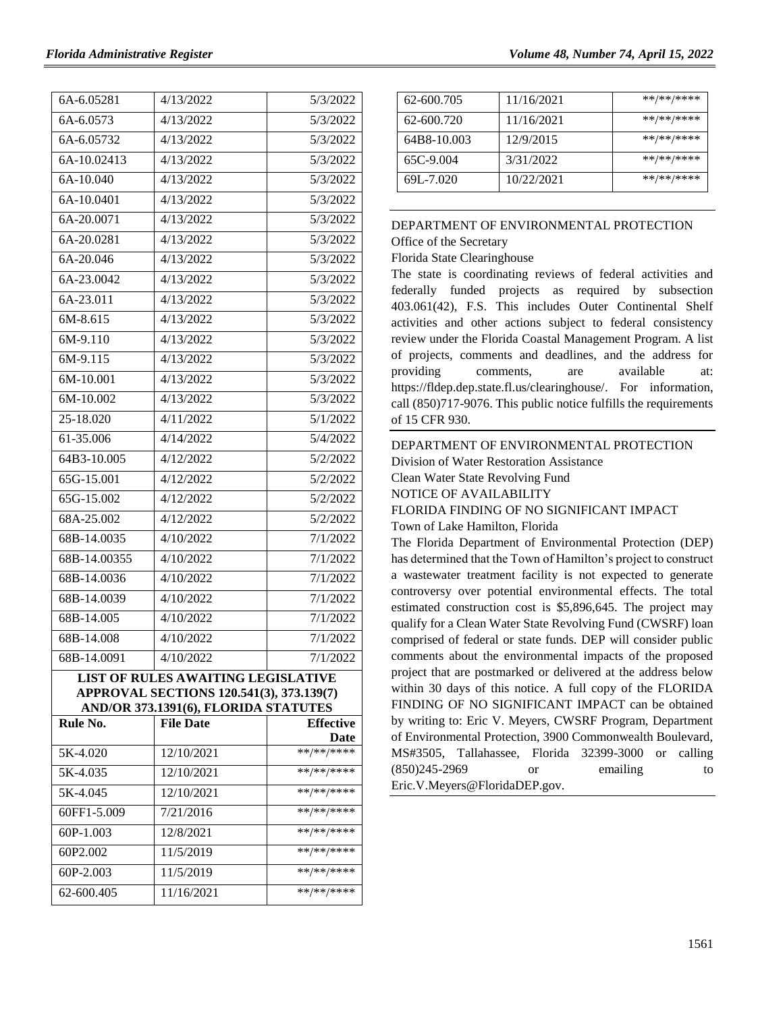| 6A-6.05281   | 4/13/2022                                                                        | 5/3/2022           |
|--------------|----------------------------------------------------------------------------------|--------------------|
| 6A-6.0573    | 4/13/2022                                                                        | 5/3/2022           |
| 6A-6.05732   | 4/13/2022                                                                        | 5/3/2022           |
| 6A-10.02413  | 4/13/2022                                                                        | 5/3/2022           |
| 6A-10.040    | 4/13/2022                                                                        | 5/3/2022           |
| 6A-10.0401   | 4/13/2022                                                                        | 5/3/2022           |
| 6A-20.0071   | 4/13/2022                                                                        | 5/3/2022           |
| 6A-20.0281   | 4/13/2022                                                                        | 5/3/2022           |
| 6A-20.046    | 4/13/2022                                                                        | 5/3/2022           |
| 6A-23.0042   | 4/13/2022                                                                        | 5/3/2022           |
| 6A-23.011    | 4/13/2022                                                                        | 5/3/2022           |
| 6M-8.615     | 4/13/2022                                                                        | 5/3/2022           |
| 6M-9.110     | 4/13/2022                                                                        | 5/3/2022           |
| 6M-9.115     | 4/13/2022                                                                        | 5/3/2022           |
| 6M-10.001    | 4/13/2022                                                                        | 5/3/2022           |
| 6M-10.002    | 4/13/2022                                                                        | 5/3/2022           |
| 25-18.020    | 4/11/2022                                                                        | 5/1/2022           |
| 61-35.006    | 4/14/2022                                                                        | 5/4/2022           |
| 64B3-10.005  | 4/12/2022                                                                        | 5/2/2022           |
| 65G-15.001   | 4/12/2022                                                                        | 5/2/2022           |
| 65G-15.002   | 4/12/2022                                                                        | 5/2/2022           |
| 68A-25.002   | 4/12/2022                                                                        | 5/2/2022           |
| 68B-14.0035  | 4/10/2022                                                                        | 7/1/2022           |
| 68B-14.00355 | 4/10/2022                                                                        | 7/1/2022           |
| 68B-14.0036  | 4/10/2022                                                                        | 7/1/2022           |
| 68B-14.0039  | 4/10/2022                                                                        | 7/1/2022           |
| 68B-14.005   | 4/10/2022                                                                        | 7/1/2022           |
| 68B-14.008   | 4/10/2022                                                                        | 7/1/2022           |
| 68B-14.0091  | 4/10/2022                                                                        | 7/1/2022           |
|              | <b>LIST OF RULES AWAITING LEGISLATIVE</b>                                        |                    |
|              | APPROVAL SECTIONS 120.541(3), 373.139(7)<br>AND/OR 373.1391(6), FLORIDA STATUTES |                    |
| Rule No.     | <b>File Date</b>                                                                 | <b>Effective</b>   |
| 5K-4.020     | 12/10/2021                                                                       | Date<br>**/**/**** |
| 5K-4.035     | 12/10/2021                                                                       | **/**/****         |
| 5K-4.045     | 12/10/2021                                                                       | **/**/****         |
| 60FF1-5.009  | 7/21/2016                                                                        | **/**/****         |
| 60P-1.003    | 12/8/2021                                                                        | **/**/****         |
| 60P2.002     | 11/5/2019                                                                        | **/**/****         |
| 60P-2.003    | 11/5/2019                                                                        | **/**/****         |
| 62-600.405   | 11/16/2021                                                                       | **/**/****         |
|              |                                                                                  |                    |

| 62-600.705  | 11/16/2021 | **/**/**** |
|-------------|------------|------------|
| 62-600.720  | 11/16/2021 | **/**/**** |
| 64B8-10.003 | 12/9/2015  | **/**/**** |
| 65C-9.004   | 3/31/2022  | **/**/**** |
| 69L-7.020   | 10/22/2021 | **/**/**** |

# [DEPARTMENT OF ENVIRONMENTAL PROTECTION](https://flrules.org/gateway/department.asp?id=62)

[Office of the Secretary](https://flrules.org/gateway/organization.asp?id=294)

#### Florida State Clearinghouse

The state is coordinating reviews of federal activities and federally funded projects as required by subsection 403.061(42), F.S. This includes Outer Continental Shelf activities and other actions subject to federal consistency review under the Florida Coastal Management Program. A list of projects, comments and deadlines, and the address for providing comments, are available at: [https://fldep.dep.state.fl.us/clearinghouse/.](https://fldep.dep.state.fl.us/clearinghouse/) For information, call (850)717-9076. This public notice fulfills the requirements of 15 CFR 930.

# [DEPARTMENT OF ENVIRONMENTAL PROTECTION](https://flrules.org/gateway/department.asp?id=62) [Division of Water Restoration Assistance](https://flrules.org/gateway/organization.asp?id=1431) Clean Water State Revolving Fund NOTICE OF AVAILABILITY FLORIDA FINDING OF NO SIGNIFICANT IMPACT Town of Lake Hamilton, Florida

The Florida Department of Environmental Protection (DEP) has determined that the Town of Hamilton's project to construct a wastewater treatment facility is not expected to generate controversy over potential environmental effects. The total estimated construction cost is \$5,896,645. The project may qualify for a Clean Water State Revolving Fund (CWSRF) loan comprised of federal or state funds. DEP will consider public comments about the environmental impacts of the proposed project that are postmarked or delivered at the address below within 30 days of this notice. A full copy of the FLORIDA FINDING OF NO SIGNIFICANT IMPACT can be obtained by writing to: Eric V. Meyers, CWSRF Program, Department of Environmental Protection, 3900 Commonwealth Boulevard, MS#3505, Tallahassee, Florida 32399-3000 or calling (850)245-2969 or emailing to [Eric.V.Meyers@FloridaDEP.gov.](mailto:Eric.V.Meyers@FloridaDEP.gov)